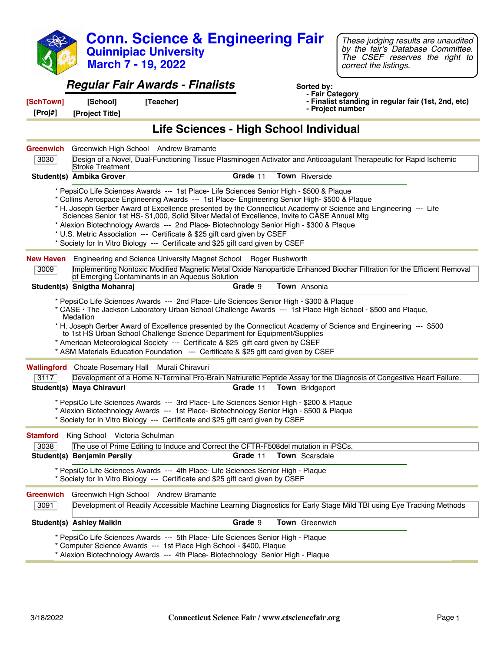|                          | <b>March 7 - 19, 2022</b>                                 | <b>Conn. Science &amp; Engineering Fair</b><br><b>Quinnipiac University</b>                                                                                                                                                                                                                                                                                                                                                                                                                                                                          |          |                                     | These judging results are unaudited<br>by the fair's Database Committee.<br>The CSEF reserves the right to<br>correct the listings.                                                                                             |
|--------------------------|-----------------------------------------------------------|------------------------------------------------------------------------------------------------------------------------------------------------------------------------------------------------------------------------------------------------------------------------------------------------------------------------------------------------------------------------------------------------------------------------------------------------------------------------------------------------------------------------------------------------------|----------|-------------------------------------|---------------------------------------------------------------------------------------------------------------------------------------------------------------------------------------------------------------------------------|
|                          |                                                           | <b>Regular Fair Awards - Finalists</b>                                                                                                                                                                                                                                                                                                                                                                                                                                                                                                               |          | Sorted by:                          |                                                                                                                                                                                                                                 |
| [SchTown]<br>[Proj#]     | [School]<br>[Project Title]                               | [Teacher]                                                                                                                                                                                                                                                                                                                                                                                                                                                                                                                                            |          | - Fair Category<br>- Project number | - Finalist standing in regular fair (1st, 2nd, etc)                                                                                                                                                                             |
|                          |                                                           | Life Sciences - High School Individual                                                                                                                                                                                                                                                                                                                                                                                                                                                                                                               |          |                                     |                                                                                                                                                                                                                                 |
| <b>Greenwich</b><br>3030 | Greenwich High School Andrew Bramante<br>Stroke Treatment |                                                                                                                                                                                                                                                                                                                                                                                                                                                                                                                                                      |          |                                     | Design of a Novel, Dual-Functioning Tissue Plasminogen Activator and Anticoagulant Therapeutic for Rapid Ischemic                                                                                                               |
|                          | Student(s) Ambika Grover                                  |                                                                                                                                                                                                                                                                                                                                                                                                                                                                                                                                                      | Grade 11 | <b>Town</b> Riverside               |                                                                                                                                                                                                                                 |
|                          |                                                           | * PepsiCo Life Sciences Awards --- 1st Place- Life Sciences Senior High - \$500 & Plaque<br>* Collins Aerospace Engineering Awards --- 1st Place- Engineering Senior High- \$500 & Plaque<br>Sciences Senior 1st HS- \$1,000, Solid Silver Medal of Excellence, Invite to CASE Annual Mtg<br>* Alexion Biotechnology Awards --- 2nd Place- Biotechnology Senior High - \$300 & Plaque<br>* U.S. Metric Association --- Certificate & \$25 gift card given by CSEF<br>* Society for In Vitro Biology --- Certificate and \$25 gift card given by CSEF |          |                                     | * H. Joseph Gerber Award of Excellence presented by the Connecticut Academy of Science and Engineering --- Life                                                                                                                 |
| <b>New Haven</b>         |                                                           | Engineering and Science University Magnet School Roger Rushworth                                                                                                                                                                                                                                                                                                                                                                                                                                                                                     |          |                                     |                                                                                                                                                                                                                                 |
| 3009                     |                                                           | of Emerging Contaminants in an Aqueous Solution                                                                                                                                                                                                                                                                                                                                                                                                                                                                                                      |          |                                     | Implementing Nontoxic Modified Magnetic Metal Oxide Nanoparticle Enhanced Biochar Filtration for the Efficient Removal                                                                                                          |
|                          | Student(s) Snigtha Mohanraj                               |                                                                                                                                                                                                                                                                                                                                                                                                                                                                                                                                                      | Grade 9  | Town Ansonia                        |                                                                                                                                                                                                                                 |
|                          | Medallion                                                 | * PepsiCo Life Sciences Awards --- 2nd Place- Life Sciences Senior High - \$300 & Plaque<br>to 1st HS Urban School Challenge Science Department for Equipment/Supplies<br>* American Meteorological Society --- Certificate & \$25 gift card given by CSEF<br>* ASM Materials Education Foundation --- Certificate & \$25 gift card given by CSEF                                                                                                                                                                                                    |          |                                     | * CASE • The Jackson Laboratory Urban School Challenge Awards --- 1st Place High School - \$500 and Plaque,<br>* H. Joseph Gerber Award of Excellence presented by the Connecticut Academy of Science and Engineering --- \$500 |
|                          | <b>Wallingford</b> Choate Rosemary Hall Murali Chiravuri  |                                                                                                                                                                                                                                                                                                                                                                                                                                                                                                                                                      |          |                                     |                                                                                                                                                                                                                                 |
| 3117                     |                                                           |                                                                                                                                                                                                                                                                                                                                                                                                                                                                                                                                                      |          |                                     | Development of a Home N-Terminal Pro-Brain Natriuretic Peptide Assay for the Diagnosis of Congestive Heart Failure.                                                                                                             |
|                          | Student(s) Maya Chiravuri                                 |                                                                                                                                                                                                                                                                                                                                                                                                                                                                                                                                                      | Grade 11 | Town Bridgeport                     |                                                                                                                                                                                                                                 |
|                          |                                                           | * PepsiCo Life Sciences Awards --- 3rd Place- Life Sciences Senior High - \$200 & Plaque<br>* Alexion Biotechnology Awards --- 1st Place- Biotechnology Senior High - \$500 & Plaque<br>* Society for In Vitro Biology --- Certificate and \$25 gift card given by CSEF                                                                                                                                                                                                                                                                              |          |                                     |                                                                                                                                                                                                                                 |
| <b>Stamford</b>          | King School Victoria Schulman                             |                                                                                                                                                                                                                                                                                                                                                                                                                                                                                                                                                      |          |                                     |                                                                                                                                                                                                                                 |
| 3038                     |                                                           | The use of Prime Editing to Induce and Correct the CFTR-F508del mutation in iPSCs.                                                                                                                                                                                                                                                                                                                                                                                                                                                                   |          |                                     |                                                                                                                                                                                                                                 |
|                          | Student(s) Benjamin Persily                               |                                                                                                                                                                                                                                                                                                                                                                                                                                                                                                                                                      | Grade 11 | <b>Town</b> Scarsdale               |                                                                                                                                                                                                                                 |
|                          |                                                           | * PepsiCo Life Sciences Awards --- 4th Place- Life Sciences Senior High - Plaque<br>* Society for In Vitro Biology --- Certificate and \$25 gift card given by CSEF                                                                                                                                                                                                                                                                                                                                                                                  |          |                                     |                                                                                                                                                                                                                                 |
| <b>Greenwich</b>         | Greenwich High School Andrew Bramante                     |                                                                                                                                                                                                                                                                                                                                                                                                                                                                                                                                                      |          |                                     |                                                                                                                                                                                                                                 |
| 3091                     |                                                           |                                                                                                                                                                                                                                                                                                                                                                                                                                                                                                                                                      |          |                                     | Development of Readily Accessible Machine Learning Diagnostics for Early Stage Mild TBI using Eye Tracking Methods                                                                                                              |
|                          | <b>Student(s) Ashley Malkin</b>                           |                                                                                                                                                                                                                                                                                                                                                                                                                                                                                                                                                      | Grade 9  | Town Greenwich                      |                                                                                                                                                                                                                                 |
|                          |                                                           | * PepsiCo Life Sciences Awards --- 5th Place- Life Sciences Senior High - Plaque<br>* Computer Science Awards --- 1st Place High School - \$400, Plaque<br>* Alexion Biotechnology Awards --- 4th Place- Biotechnology Senior High - Plaque                                                                                                                                                                                                                                                                                                          |          |                                     |                                                                                                                                                                                                                                 |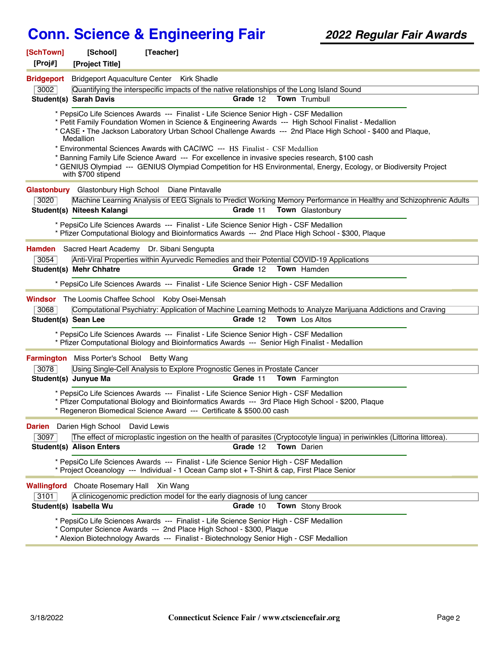| [SchTown]<br>[Proj#]        | [School]<br>[Project Title]                                                                                                                                                       | [Teacher]                                                                                                                                                                                                                                                                                                                                                                                                                                                                                                                                                                                                           |  |  |  |
|-----------------------------|-----------------------------------------------------------------------------------------------------------------------------------------------------------------------------------|---------------------------------------------------------------------------------------------------------------------------------------------------------------------------------------------------------------------------------------------------------------------------------------------------------------------------------------------------------------------------------------------------------------------------------------------------------------------------------------------------------------------------------------------------------------------------------------------------------------------|--|--|--|
| <b>Bridgeport</b>           |                                                                                                                                                                                   | Bridgeport Aquaculture Center Kirk Shadle                                                                                                                                                                                                                                                                                                                                                                                                                                                                                                                                                                           |  |  |  |
| 3002                        |                                                                                                                                                                                   | Quantifying the interspecific impacts of the native relationships of the Long Island Sound                                                                                                                                                                                                                                                                                                                                                                                                                                                                                                                          |  |  |  |
|                             | <b>Student(s) Sarah Davis</b>                                                                                                                                                     | Grade 12<br>Town Trumbull                                                                                                                                                                                                                                                                                                                                                                                                                                                                                                                                                                                           |  |  |  |
|                             | Medallion<br>with \$700 stipend                                                                                                                                                   | * PepsiCo Life Sciences Awards --- Finalist - Life Science Senior High - CSF Medallion<br>* Petit Family Foundation Women in Science & Engineering Awards --- High School Finalist - Medallion<br>* CASE • The Jackson Laboratory Urban School Challenge Awards --- 2nd Place High School - \$400 and Plaque,<br>* Environmental Sciences Awards with CACIWC --- HS Finalist - CSF Medallion<br>* Banning Family Life Science Award --- For excellence in invasive species research, \$100 cash<br>* GENIUS Olympiad --- GENIUS Olympiad Competition for HS Environmental, Energy, Ecology, or Biodiversity Project |  |  |  |
|                             |                                                                                                                                                                                   |                                                                                                                                                                                                                                                                                                                                                                                                                                                                                                                                                                                                                     |  |  |  |
| 3020                        | <b>Glastonbury</b> Glastonbury High School Diane Pintavalle<br>Machine Learning Analysis of EEG Signals to Predict Working Memory Performance in Healthy and Schizophrenic Adults |                                                                                                                                                                                                                                                                                                                                                                                                                                                                                                                                                                                                                     |  |  |  |
|                             | Student(s) Niteesh Kalangi                                                                                                                                                        | Grade 11<br><b>Town</b> Glastonbury                                                                                                                                                                                                                                                                                                                                                                                                                                                                                                                                                                                 |  |  |  |
|                             |                                                                                                                                                                                   | * PepsiCo Life Sciences Awards --- Finalist - Life Science Senior High - CSF Medallion<br>* Pfizer Computational Biology and Bioinformatics Awards --- 2nd Place High School - \$300, Plaque                                                                                                                                                                                                                                                                                                                                                                                                                        |  |  |  |
|                             |                                                                                                                                                                                   | Hamden Sacred Heart Academy Dr. Sibani Sengupta                                                                                                                                                                                                                                                                                                                                                                                                                                                                                                                                                                     |  |  |  |
| 3054                        |                                                                                                                                                                                   | Anti-Viral Properties within Ayurvedic Remedies and their Potential COVID-19 Applications                                                                                                                                                                                                                                                                                                                                                                                                                                                                                                                           |  |  |  |
|                             | <b>Student(s) Mehr Chhatre</b>                                                                                                                                                    | Grade 12<br><b>Town</b> Hamden                                                                                                                                                                                                                                                                                                                                                                                                                                                                                                                                                                                      |  |  |  |
|                             |                                                                                                                                                                                   | * PepsiCo Life Sciences Awards --- Finalist - Life Science Senior High - CSF Medallion                                                                                                                                                                                                                                                                                                                                                                                                                                                                                                                              |  |  |  |
| 3068<br>Student(s) Sean Lee |                                                                                                                                                                                   | <b>Windsor</b> The Loomis Chaffee School Koby Osei-Mensah<br>Computational Psychiatry: Application of Machine Learning Methods to Analyze Marijuana Addictions and Craving<br>Grade 12<br><b>Town</b> Los Altos<br>* PepsiCo Life Sciences Awards --- Finalist - Life Science Senior High - CSF Medallion                                                                                                                                                                                                                                                                                                           |  |  |  |
|                             |                                                                                                                                                                                   | * Pfizer Computational Biology and Bioinformatics Awards --- Senior High Finalist - Medallion                                                                                                                                                                                                                                                                                                                                                                                                                                                                                                                       |  |  |  |
|                             | Farmington Miss Porter's School Betty Wang                                                                                                                                        |                                                                                                                                                                                                                                                                                                                                                                                                                                                                                                                                                                                                                     |  |  |  |
| 3078                        |                                                                                                                                                                                   | Using Single-Cell Analysis to Explore Prognostic Genes in Prostate Cancer                                                                                                                                                                                                                                                                                                                                                                                                                                                                                                                                           |  |  |  |
|                             | Student(s) Junyue Ma                                                                                                                                                              | Grade 11<br><b>Town</b> Farmington                                                                                                                                                                                                                                                                                                                                                                                                                                                                                                                                                                                  |  |  |  |
|                             |                                                                                                                                                                                   | * PepsiCo Life Sciences Awards --- Finalist - Life Science Senior High - CSF Medallion<br>* Pfizer Computational Biology and Bioinformatics Awards --- 3rd Place High School - \$200, Plaque<br>* Regeneron Biomedical Science Award --- Certificate & \$500.00 cash                                                                                                                                                                                                                                                                                                                                                |  |  |  |
|                             | <b>Darien</b> Darien High School                                                                                                                                                  | David Lewis                                                                                                                                                                                                                                                                                                                                                                                                                                                                                                                                                                                                         |  |  |  |
| 3097                        |                                                                                                                                                                                   | The effect of microplastic ingestion on the health of parasites (Cryptocotyle lingua) in periwinkles (Littorina littorea).                                                                                                                                                                                                                                                                                                                                                                                                                                                                                          |  |  |  |
|                             | <b>Student(s) Alison Enters</b>                                                                                                                                                   | Grade 12<br>Town Darien                                                                                                                                                                                                                                                                                                                                                                                                                                                                                                                                                                                             |  |  |  |
|                             |                                                                                                                                                                                   | * PepsiCo Life Sciences Awards --- Finalist - Life Science Senior High - CSF Medallion<br>* Project Oceanology --- Individual - 1 Ocean Camp slot + T-Shirt & cap, First Place Senior                                                                                                                                                                                                                                                                                                                                                                                                                               |  |  |  |
| Wallingford                 | <b>Choate Rosemary Hall</b>                                                                                                                                                       | Xin Wang                                                                                                                                                                                                                                                                                                                                                                                                                                                                                                                                                                                                            |  |  |  |
| 3101                        |                                                                                                                                                                                   | A clinicogenomic prediction model for the early diagnosis of lung cancer                                                                                                                                                                                                                                                                                                                                                                                                                                                                                                                                            |  |  |  |
|                             | Student(s) Isabella Wu                                                                                                                                                            | Grade 10<br><b>Town</b> Stony Brook                                                                                                                                                                                                                                                                                                                                                                                                                                                                                                                                                                                 |  |  |  |
|                             |                                                                                                                                                                                   | * PepsiCo Life Sciences Awards --- Finalist - Life Science Senior High - CSF Medallion<br>* Computer Science Awards --- 2nd Place High School - \$300, Plaque<br>* Alexion Biotechnology Awards --- Finalist - Biotechnology Senior High - CSF Medallion                                                                                                                                                                                                                                                                                                                                                            |  |  |  |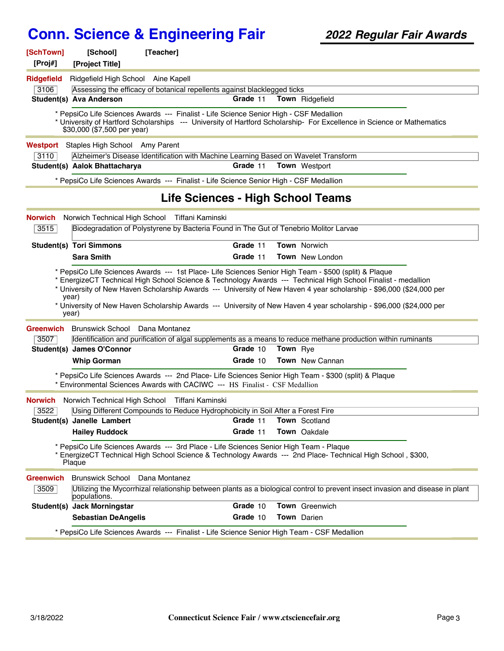| [SchTown]<br>[Proj#] | [School]<br>[Project Title]                      | [Teacher]                                                                                   |          |                 |                                                                                                                               |  |
|----------------------|--------------------------------------------------|---------------------------------------------------------------------------------------------|----------|-----------------|-------------------------------------------------------------------------------------------------------------------------------|--|
| Ridgefield           | Ridgefield High School Aine Kapell               |                                                                                             |          |                 |                                                                                                                               |  |
| 3106                 |                                                  | Assessing the efficacy of botanical repellents against blacklegged ticks                    |          |                 |                                                                                                                               |  |
|                      | Student(s) Ava Anderson                          |                                                                                             | Grade 11 |                 | Town Ridgefield                                                                                                               |  |
|                      | \$30,000 (\$7,500 per year)                      | * PepsiCo Life Sciences Awards --- Finalist - Life Science Senior High - CSF Medallion      |          |                 | * University of Hartford Scholarships --- University of Hartford Scholarship- For Excellence in Science or Mathematics        |  |
| Westport             | Staples High School Amy Parent                   |                                                                                             |          |                 |                                                                                                                               |  |
| 3110                 |                                                  | Alzheimer's Disease Identification with Machine Learning Based on Wavelet Transform         |          |                 |                                                                                                                               |  |
|                      | Student(s) Aalok Bhattacharya                    |                                                                                             | Grade 11 |                 | Town Westport                                                                                                                 |  |
|                      |                                                  | * PepsiCo Life Sciences Awards --- Finalist - Life Science Senior High - CSF Medallion      |          |                 |                                                                                                                               |  |
|                      |                                                  | Life Sciences - High School Teams                                                           |          |                 |                                                                                                                               |  |
| <b>Norwich</b>       |                                                  | Norwich Technical High School Tiffani Kaminski                                              |          |                 |                                                                                                                               |  |
| 3515                 |                                                  | Biodegradation of Polystyrene by Bacteria Found in The Gut of Tenebrio Molitor Larvae       |          |                 |                                                                                                                               |  |
|                      | <b>Student(s) Tori Simmons</b>                   |                                                                                             | Grade 11 |                 | <b>Town Norwich</b>                                                                                                           |  |
|                      | <b>Sara Smith</b>                                |                                                                                             | Grade 11 |                 | <b>Town</b> New London                                                                                                        |  |
| <b>Greenwich</b>     | year)<br>year)<br>Brunswick School Dana Montanez |                                                                                             |          |                 | * University of New Haven Scholarship Awards --- University of New Haven 4 year scholarship - \$96,000 (\$24,000 per          |  |
| 3507                 |                                                  |                                                                                             |          |                 | Identification and purification of algal supplements as a means to reduce methane production within ruminants                 |  |
|                      | Student(s) James O'Connor                        |                                                                                             | Grade 10 | <b>Town</b> Rye |                                                                                                                               |  |
|                      | <b>Whip Gorman</b>                               |                                                                                             | Grade 10 |                 | Town New Cannan                                                                                                               |  |
|                      |                                                  | * Environmental Sciences Awards with CACIWC --- HS Finalist - CSF Medallion                 |          |                 | * PepsiCo Life Sciences Awards --- 2nd Place- Life Sciences Senior High Team - \$300 (split) & Plaque                         |  |
| <b>Norwich</b>       |                                                  | Norwich Technical High School Tiffani Kaminski                                              |          |                 |                                                                                                                               |  |
| 3522                 |                                                  | Using Different Compounds to Reduce Hydrophobicity in Soil After a Forest Fire              |          |                 |                                                                                                                               |  |
|                      | Student(s) Janelle Lambert                       |                                                                                             | Grade 11 |                 | <b>Town</b> Scotland                                                                                                          |  |
|                      | <b>Hailey Ruddock</b>                            |                                                                                             | Grade 11 |                 | Town Oakdale                                                                                                                  |  |
|                      | Plaque                                           | * PepsiCo Life Sciences Awards --- 3rd Place - Life Sciences Senior High Team - Plaque      |          |                 | EnergizeCT Technical High School Science & Technology Awards --- 2nd Place- Technical High School, \$300,                     |  |
| <b>Greenwich</b>     | Brunswick School Dana Montanez                   |                                                                                             |          |                 |                                                                                                                               |  |
| 3509                 | populations.                                     |                                                                                             |          |                 | Utilizing the Mycorrhizal relationship between plants as a biological control to prevent insect invasion and disease in plant |  |
|                      | Student(s) Jack Morningstar                      |                                                                                             | Grade 10 |                 | Town Greenwich                                                                                                                |  |
|                      | <b>Sebastian DeAngelis</b>                       |                                                                                             | Grade 10 |                 | Town Darien                                                                                                                   |  |
|                      |                                                  | * PepsiCo Life Sciences Awards --- Finalist - Life Science Senior High Team - CSF Medallion |          |                 |                                                                                                                               |  |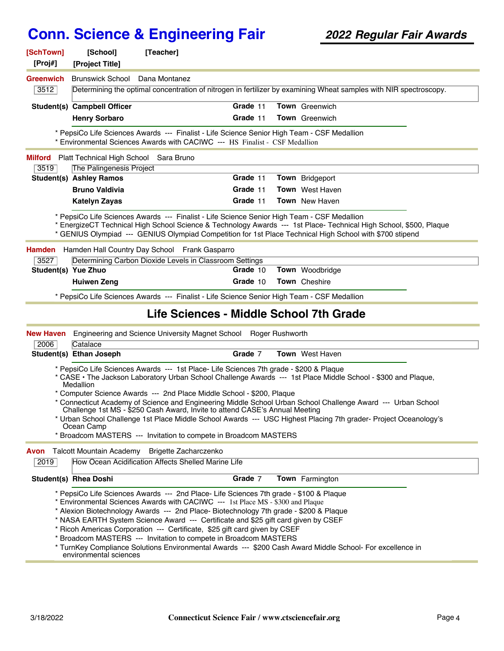| [Proj#]             | [School]<br>[Project Title]                                                                                                                                                                                                                                                                                                                                                                                                                                                                                                                                                                                                                                                                      | [Teacher]                                                                                                                                                                                                                                                                                                                     |  |  |
|---------------------|--------------------------------------------------------------------------------------------------------------------------------------------------------------------------------------------------------------------------------------------------------------------------------------------------------------------------------------------------------------------------------------------------------------------------------------------------------------------------------------------------------------------------------------------------------------------------------------------------------------------------------------------------------------------------------------------------|-------------------------------------------------------------------------------------------------------------------------------------------------------------------------------------------------------------------------------------------------------------------------------------------------------------------------------|--|--|
| <b>Greenwich</b>    | <b>Brunswick School</b>                                                                                                                                                                                                                                                                                                                                                                                                                                                                                                                                                                                                                                                                          | Dana Montanez                                                                                                                                                                                                                                                                                                                 |  |  |
| 3512                |                                                                                                                                                                                                                                                                                                                                                                                                                                                                                                                                                                                                                                                                                                  | Determining the optimal concentration of nitrogen in fertilizer by examining Wheat samples with NIR spectroscopy.                                                                                                                                                                                                             |  |  |
|                     | Student(s) Campbell Officer                                                                                                                                                                                                                                                                                                                                                                                                                                                                                                                                                                                                                                                                      | Grade 11<br>Town Greenwich                                                                                                                                                                                                                                                                                                    |  |  |
|                     | <b>Henry Sorbaro</b>                                                                                                                                                                                                                                                                                                                                                                                                                                                                                                                                                                                                                                                                             | Grade 11<br><b>Town</b> Greenwich                                                                                                                                                                                                                                                                                             |  |  |
|                     |                                                                                                                                                                                                                                                                                                                                                                                                                                                                                                                                                                                                                                                                                                  | * PepsiCo Life Sciences Awards --- Finalist - Life Science Senior High Team - CSF Medallion<br>* Environmental Sciences Awards with CACIWC --- HS Finalist - CSF Medallion                                                                                                                                                    |  |  |
| Milford             | Platt Technical High School Sara Bruno                                                                                                                                                                                                                                                                                                                                                                                                                                                                                                                                                                                                                                                           |                                                                                                                                                                                                                                                                                                                               |  |  |
| 3519                | The Palingenesis Project                                                                                                                                                                                                                                                                                                                                                                                                                                                                                                                                                                                                                                                                         |                                                                                                                                                                                                                                                                                                                               |  |  |
|                     | <b>Student(s) Ashley Ramos</b>                                                                                                                                                                                                                                                                                                                                                                                                                                                                                                                                                                                                                                                                   | Grade 11<br>Town Bridgeport                                                                                                                                                                                                                                                                                                   |  |  |
|                     | <b>Bruno Valdivia</b>                                                                                                                                                                                                                                                                                                                                                                                                                                                                                                                                                                                                                                                                            | Grade 11<br><b>Town</b> West Haven                                                                                                                                                                                                                                                                                            |  |  |
|                     | <b>Katelyn Zayas</b>                                                                                                                                                                                                                                                                                                                                                                                                                                                                                                                                                                                                                                                                             | Grade 11<br><b>Town</b> New Haven                                                                                                                                                                                                                                                                                             |  |  |
|                     |                                                                                                                                                                                                                                                                                                                                                                                                                                                                                                                                                                                                                                                                                                  | * PepsiCo Life Sciences Awards --- Finalist - Life Science Senior High Team - CSF Medallion<br>* EnergizeCT Technical High School Science & Technology Awards --- 1st Place- Technical High School, \$500, Plaque<br>* GENIUS Olympiad --- GENIUS Olympiad Competition for 1st Place Technical High School with \$700 stipend |  |  |
| <b>Hamden</b>       |                                                                                                                                                                                                                                                                                                                                                                                                                                                                                                                                                                                                                                                                                                  | Hamden Hall Country Day School Frank Gasparro                                                                                                                                                                                                                                                                                 |  |  |
| 3527                |                                                                                                                                                                                                                                                                                                                                                                                                                                                                                                                                                                                                                                                                                                  | Determining Carbon Dioxide Levels in Classroom Settings                                                                                                                                                                                                                                                                       |  |  |
| Student(s) Yue Zhuo |                                                                                                                                                                                                                                                                                                                                                                                                                                                                                                                                                                                                                                                                                                  | Grade 10<br>Town Woodbridge                                                                                                                                                                                                                                                                                                   |  |  |
|                     | <b>Huiwen Zeng</b>                                                                                                                                                                                                                                                                                                                                                                                                                                                                                                                                                                                                                                                                               | Grade 10<br>Town Cheshire                                                                                                                                                                                                                                                                                                     |  |  |
|                     |                                                                                                                                                                                                                                                                                                                                                                                                                                                                                                                                                                                                                                                                                                  | * PepsiCo Life Sciences Awards --- Finalist - Life Science Senior High Team - CSF Medallion                                                                                                                                                                                                                                   |  |  |
|                     |                                                                                                                                                                                                                                                                                                                                                                                                                                                                                                                                                                                                                                                                                                  | Life Sciences - Middle School 7th Grade                                                                                                                                                                                                                                                                                       |  |  |
| <b>New Haven</b>    |                                                                                                                                                                                                                                                                                                                                                                                                                                                                                                                                                                                                                                                                                                  | Engineering and Science University Magnet School Roger Rushworth                                                                                                                                                                                                                                                              |  |  |
| 2006                | Catalace                                                                                                                                                                                                                                                                                                                                                                                                                                                                                                                                                                                                                                                                                         | Grade 7<br><b>Town</b> West Haven                                                                                                                                                                                                                                                                                             |  |  |
|                     | Student(s) Ethan Joseph                                                                                                                                                                                                                                                                                                                                                                                                                                                                                                                                                                                                                                                                          |                                                                                                                                                                                                                                                                                                                               |  |  |
|                     | * PepsiCo Life Sciences Awards --- 1st Place- Life Sciences 7th grade - \$200 & Plaque<br>* CASE • The Jackson Laboratory Urban School Challenge Awards --- 1st Place Middle School - \$300 and Plaque,<br>Medallion<br>* Computer Science Awards --- 2nd Place Middle School - \$200, Plaque<br>* Connecticut Academy of Science and Engineering Middle School Urban School Challenge Award --- Urban School<br>Challenge 1st MS - \$250 Cash Award, Invite to attend CASE's Annual Meeting<br>Urban School Challenge 1st Place Middle School Awards --- USC Highest Placing 7th grader- Project Oceanology's<br>Ocean Camp<br>* Broadcom MASTERS --- Invitation to compete in Broadcom MASTERS |                                                                                                                                                                                                                                                                                                                               |  |  |
|                     |                                                                                                                                                                                                                                                                                                                                                                                                                                                                                                                                                                                                                                                                                                  |                                                                                                                                                                                                                                                                                                                               |  |  |
| Avon                | Talcott Mountain Academy                                                                                                                                                                                                                                                                                                                                                                                                                                                                                                                                                                                                                                                                         | Brigette Zacharczenko                                                                                                                                                                                                                                                                                                         |  |  |
| 2019                |                                                                                                                                                                                                                                                                                                                                                                                                                                                                                                                                                                                                                                                                                                  | How Ocean Acidification Affects Shelled Marine Life                                                                                                                                                                                                                                                                           |  |  |
|                     | <b>Student(s) Rhea Doshi</b>                                                                                                                                                                                                                                                                                                                                                                                                                                                                                                                                                                                                                                                                     | Grade 7<br>Town Farmington                                                                                                                                                                                                                                                                                                    |  |  |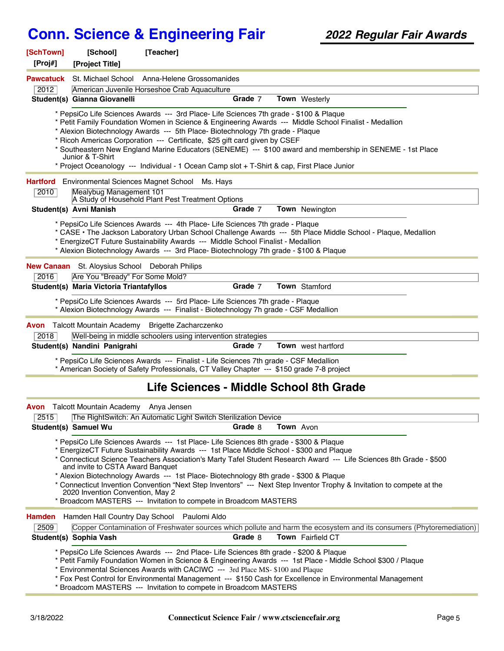| [SchTown]<br>[Proj#] | [School]<br>[Project Title]                                          | [Teacher]                                                                                                                                                                                                                                                                                                                                                                                                                                                                                                                                                                                        |
|----------------------|----------------------------------------------------------------------|--------------------------------------------------------------------------------------------------------------------------------------------------------------------------------------------------------------------------------------------------------------------------------------------------------------------------------------------------------------------------------------------------------------------------------------------------------------------------------------------------------------------------------------------------------------------------------------------------|
| <b>Pawcatuck</b>     |                                                                      | St. Michael School Anna-Helene Grossomanides                                                                                                                                                                                                                                                                                                                                                                                                                                                                                                                                                     |
| 2012                 |                                                                      | American Juvenile Horseshoe Crab Aquaculture                                                                                                                                                                                                                                                                                                                                                                                                                                                                                                                                                     |
|                      | Student(s) Gianna Giovanelli                                         | Grade 7<br>Town Westerly                                                                                                                                                                                                                                                                                                                                                                                                                                                                                                                                                                         |
|                      | Junior & T-Shirt                                                     | * PepsiCo Life Sciences Awards --- 3rd Place- Life Sciences 7th grade - \$100 & Plaque<br>* Petit Family Foundation Women in Science & Engineering Awards --- Middle School Finalist - Medallion<br>* Alexion Biotechnology Awards --- 5th Place- Biotechnology 7th grade - Plaque<br>* Ricoh Americas Corporation --- Certificate, \$25 gift card given by CSEF<br>* Southeastern New England Marine Educators (SENEME) --- \$100 award and membership in SENEME - 1st Place<br>* Project Oceanology --- Individual - 1 Ocean Camp slot + T-Shirt & cap, First Place Junior                     |
| Hartford             | Environmental Sciences Magnet School                                 | Ms. Hays                                                                                                                                                                                                                                                                                                                                                                                                                                                                                                                                                                                         |
| 2010                 | Mealybug Management 101                                              |                                                                                                                                                                                                                                                                                                                                                                                                                                                                                                                                                                                                  |
|                      | Student(s) Avni Manish                                               | A Study of Household Plant Pest Treatment Options<br>Grade 7<br>Town Newington                                                                                                                                                                                                                                                                                                                                                                                                                                                                                                                   |
|                      |                                                                      |                                                                                                                                                                                                                                                                                                                                                                                                                                                                                                                                                                                                  |
|                      |                                                                      | * PepsiCo Life Sciences Awards --- 4th Place- Life Sciences 7th grade - Plaque<br>* CASE · The Jackson Laboratory Urban School Challenge Awards --- 5th Place Middle School - Plaque, Medallion<br>* EnergizeCT Future Sustainability Awards --- Middle School Finalist - Medallion<br>* Alexion Biotechnology Awards --- 3rd Place- Biotechnology 7th grade - \$100 & Plague                                                                                                                                                                                                                    |
|                      | <b>New Canaan</b> St. Aloysius School Deborah Philips                |                                                                                                                                                                                                                                                                                                                                                                                                                                                                                                                                                                                                  |
| 2016                 | Are You "Bready" For Some Mold?                                      |                                                                                                                                                                                                                                                                                                                                                                                                                                                                                                                                                                                                  |
|                      | Student(s) Maria Victoria Triantafyllos                              | Grade 7<br><b>Town</b> Stamford                                                                                                                                                                                                                                                                                                                                                                                                                                                                                                                                                                  |
|                      |                                                                      | * PepsiCo Life Sciences Awards --- 5rd Place- Life Sciences 7th grade - Plaque<br>* Alexion Biotechnology Awards --- Finalist - Biotechnology 7h grade - CSF Medallion                                                                                                                                                                                                                                                                                                                                                                                                                           |
|                      |                                                                      | Avon Talcott Mountain Academy Brigette Zacharczenko                                                                                                                                                                                                                                                                                                                                                                                                                                                                                                                                              |
| 2018                 |                                                                      | Well-being in middle schoolers using intervention strategies                                                                                                                                                                                                                                                                                                                                                                                                                                                                                                                                     |
|                      | Student(s) Nandini Panigrahi                                         | Grade 7<br><b>Town</b> west hartford                                                                                                                                                                                                                                                                                                                                                                                                                                                                                                                                                             |
|                      |                                                                      | * PepsiCo Life Sciences Awards --- Finalist - Life Sciences 7th grade - CSF Medallion<br>* American Society of Safety Professionals, CT Valley Chapter --- \$150 grade 7-8 project                                                                                                                                                                                                                                                                                                                                                                                                               |
|                      |                                                                      | Life Sciences - Middle School 8th Grade                                                                                                                                                                                                                                                                                                                                                                                                                                                                                                                                                          |
|                      | <b>Avon</b> Talcott Mountain Academy Anya Jensen                     |                                                                                                                                                                                                                                                                                                                                                                                                                                                                                                                                                                                                  |
| 2515                 |                                                                      | The RightSwitch: An Automatic Light Switch Sterilization Device                                                                                                                                                                                                                                                                                                                                                                                                                                                                                                                                  |
|                      | Student(s) Samuel Wu                                                 | Grade 8<br>Town Avon                                                                                                                                                                                                                                                                                                                                                                                                                                                                                                                                                                             |
|                      | and invite to CSTA Award Banquet<br>2020 Invention Convention, May 2 | * PepsiCo Life Sciences Awards --- 1st Place- Life Sciences 8th grade - \$300 & Plaque<br>* EnergizeCT Future Sustainability Awards --- 1st Place Middle School - \$300 and Plaque<br>* Connecticut Science Teachers Association's Marty Tafel Student Research Award --- Life Sciences 8th Grade - \$500<br>* Alexion Biotechnology Awards --- 1st Place- Biotechnology 8th grade - \$300 & Plaque<br>* Connecticut Invention Convention "Next Step Inventors" --- Next Step Inventor Trophy & Invitation to compete at the<br>* Broadcom MASTERS --- Invitation to compete in Broadcom MASTERS |
| <b>Hamden</b>        |                                                                      | Hamden Hall Country Day School Paulomi Aldo                                                                                                                                                                                                                                                                                                                                                                                                                                                                                                                                                      |
| 2509                 |                                                                      | Copper Contamination of Freshwater sources which pollute and harm the ecosystem and its consumers (Phytoremediation)                                                                                                                                                                                                                                                                                                                                                                                                                                                                             |
|                      | Student(s) Sophia Vash                                               | Grade 8<br><b>Town</b> Fairfield CT                                                                                                                                                                                                                                                                                                                                                                                                                                                                                                                                                              |
|                      |                                                                      | * PepsiCo Life Sciences Awards --- 2nd Place- Life Sciences 8th grade - \$200 & Plaque<br>* Petit Family Foundation Women in Science & Engineering Awards --- 1st Place - Middle School \$300 / Plaque<br>* Environmental Sciences Awards with CACIWC --- 3rd Place MS-\$100 and Plaque                                                                                                                                                                                                                                                                                                          |

\* Fox Pest Control for Environmental Management --- \$150 Cash for Excellence in Environmental Management

\* Broadcom MASTERS --- Invitation to compete in Broadcom MASTERS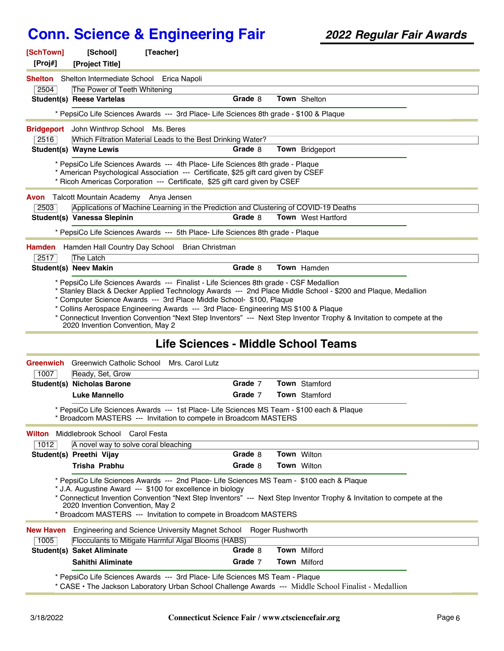| [SchTown]                                                                                                                                                                                                                                                                                                                                                                                                                                                                                                                         | [School]<br>[Teacher]                                                                                                                                                                                                                     |         |                           |  |  |  |
|-----------------------------------------------------------------------------------------------------------------------------------------------------------------------------------------------------------------------------------------------------------------------------------------------------------------------------------------------------------------------------------------------------------------------------------------------------------------------------------------------------------------------------------|-------------------------------------------------------------------------------------------------------------------------------------------------------------------------------------------------------------------------------------------|---------|---------------------------|--|--|--|
| [Proj#]<br><b>Shelton</b>                                                                                                                                                                                                                                                                                                                                                                                                                                                                                                         | [Project Title]<br>Shelton Intermediate School<br>Erica Napoli                                                                                                                                                                            |         |                           |  |  |  |
| 2504                                                                                                                                                                                                                                                                                                                                                                                                                                                                                                                              | The Power of Teeth Whitening                                                                                                                                                                                                              |         |                           |  |  |  |
|                                                                                                                                                                                                                                                                                                                                                                                                                                                                                                                                   | <b>Student(s) Reese Vartelas</b>                                                                                                                                                                                                          | Grade 8 | <b>Town</b> Shelton       |  |  |  |
|                                                                                                                                                                                                                                                                                                                                                                                                                                                                                                                                   | * PepsiCo Life Sciences Awards --- 3rd Place- Life Sciences 8th grade - \$100 & Plaque                                                                                                                                                    |         |                           |  |  |  |
| John Winthrop School Ms. Beres<br><b>Bridgeport</b>                                                                                                                                                                                                                                                                                                                                                                                                                                                                               |                                                                                                                                                                                                                                           |         |                           |  |  |  |
| 2516                                                                                                                                                                                                                                                                                                                                                                                                                                                                                                                              | Which Filtration Material Leads to the Best Drinking Water?                                                                                                                                                                               |         |                           |  |  |  |
|                                                                                                                                                                                                                                                                                                                                                                                                                                                                                                                                   | <b>Student(s) Wayne Lewis</b>                                                                                                                                                                                                             | Grade 8 | <b>Town</b> Bridgeport    |  |  |  |
| Avon<br>2503                                                                                                                                                                                                                                                                                                                                                                                                                                                                                                                      | * Ricoh Americas Corporation --- Certificate, \$25 gift card given by CSEF<br>Talcott Mountain Academy Anya Jensen<br>Applications of Machine Learning in the Prediction and Clustering of COVID-19 Deaths<br>Student(s) Vanessa Slepinin | Grade 8 | <b>Town</b> West Hartford |  |  |  |
|                                                                                                                                                                                                                                                                                                                                                                                                                                                                                                                                   |                                                                                                                                                                                                                                           |         |                           |  |  |  |
|                                                                                                                                                                                                                                                                                                                                                                                                                                                                                                                                   | * PepsiCo Life Sciences Awards --- 5th Place- Life Sciences 8th grade - Plague                                                                                                                                                            |         |                           |  |  |  |
| <b>Hamden</b>                                                                                                                                                                                                                                                                                                                                                                                                                                                                                                                     | Hamden Hall Country Day School Brian Christman                                                                                                                                                                                            |         |                           |  |  |  |
| 2517                                                                                                                                                                                                                                                                                                                                                                                                                                                                                                                              | The Latch                                                                                                                                                                                                                                 |         |                           |  |  |  |
|                                                                                                                                                                                                                                                                                                                                                                                                                                                                                                                                   | <b>Student(s) Neev Makin</b>                                                                                                                                                                                                              | Grade 8 | <b>Town</b> Hamden        |  |  |  |
| * PepsiCo Life Sciences Awards --- Finalist - Life Sciences 8th grade - CSF Medallion<br>Stanley Black & Decker Applied Technology Awards --- 2nd Place Middle School - \$200 and Plaque, Medallion *<br>* Computer Science Awards --- 3rd Place Middle School- \$100, Plaque<br>* Collins Aerospace Engineering Awards --- 3rd Place- Engineering MS \$100 & Plaque<br>* Connecticut Invention Convention "Next Step Inventors" --- Next Step Inventor Trophy & Invitation to compete at the<br>2020 Invention Convention, May 2 |                                                                                                                                                                                                                                           |         |                           |  |  |  |

#### **Life Sciences - Middle School Teams**

| Greenwich                                | Greenwich Catholic School Mrs. Carol Lutz                                                                                                                                                                                                                                                                                                                                                |         |  |                      |  |  |
|------------------------------------------|------------------------------------------------------------------------------------------------------------------------------------------------------------------------------------------------------------------------------------------------------------------------------------------------------------------------------------------------------------------------------------------|---------|--|----------------------|--|--|
| 1007                                     | Ready, Set, Grow                                                                                                                                                                                                                                                                                                                                                                         |         |  |                      |  |  |
|                                          | Student(s) Nicholas Barone                                                                                                                                                                                                                                                                                                                                                               | Grade 7 |  | <b>Town</b> Stamford |  |  |
|                                          | <b>Luke Mannello</b>                                                                                                                                                                                                                                                                                                                                                                     | Grade 7 |  | <b>Town</b> Stamford |  |  |
|                                          | * PepsiCo Life Sciences Awards --- 1st Place- Life Sciences MS Team - \$100 each & Plaque<br>* Broadcom MASTERS --- Invitation to compete in Broadcom MASTERS                                                                                                                                                                                                                            |         |  |                      |  |  |
| Middlebrook School Carol Festa<br>Wilton |                                                                                                                                                                                                                                                                                                                                                                                          |         |  |                      |  |  |
| 1012                                     | A novel way to solve coral bleaching                                                                                                                                                                                                                                                                                                                                                     |         |  |                      |  |  |
|                                          | Student(s) Preethi Vijay                                                                                                                                                                                                                                                                                                                                                                 | Grade 8 |  | <b>Town</b> Wilton   |  |  |
|                                          | Trisha Prabhu                                                                                                                                                                                                                                                                                                                                                                            | Grade 8 |  | <b>Town Wilton</b>   |  |  |
|                                          | * PepsiCo Life Sciences Awards --- 2nd Place- Life Sciences MS Team - \$100 each & Plaque<br>* J.A. Augustine Award --- \$100 for excellence in biology<br>* Connecticut Invention Convention "Next Step Inventors" --- Next Step Inventor Trophy & Invitation to compete at the<br>2020 Invention Convention, May 2<br>* Broadcom MASTERS --- Invitation to compete in Broadcom MASTERS |         |  |                      |  |  |
| <b>New Haven</b>                         | Engineering and Science University Magnet School Roger Rushworth                                                                                                                                                                                                                                                                                                                         |         |  |                      |  |  |
| 1005                                     | Flocculants to Mitigate Harmful Algal Blooms (HABS)                                                                                                                                                                                                                                                                                                                                      |         |  |                      |  |  |
|                                          | Student(s) Saket Aliminate                                                                                                                                                                                                                                                                                                                                                               | Grade 8 |  | <b>Town</b> Milford  |  |  |
|                                          | Sahithi Aliminate                                                                                                                                                                                                                                                                                                                                                                        | Grade 7 |  | <b>Town</b> Milford  |  |  |
|                                          | * PepsiCo Life Sciences Awards --- 3rd Place- Life Sciences MS Team - Plague<br>* CASE • The Jackson Laboratory Urban School Challenge Awards Middle School Einslist Medallian                                                                                                                                                                                                           |         |  |                      |  |  |

CASE • The Jackson Laboratory Urban School Challenge Awards --- Middle School Finalist - Medallion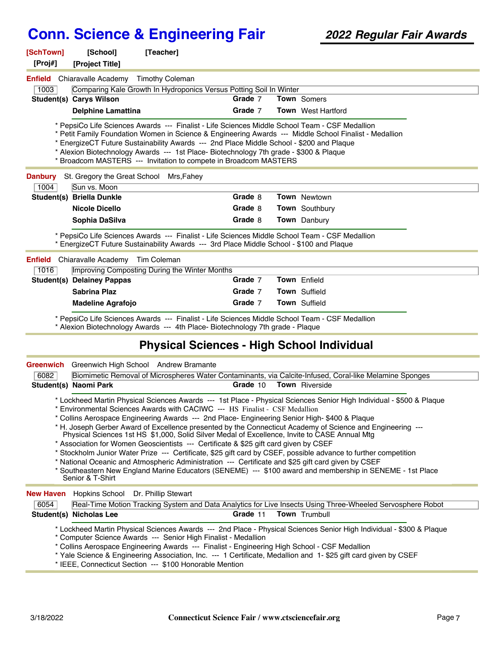| [SchTown]<br>[Proj#]                                                                                                                                                                                                                                                                                                                                                                                                                                                                                                                                                                                                                                                                                                                                                                                                                                                                                                                                                | [School]<br>[Project Title]                                     | [Teacher]                                                                                                                                                                                                                  |          |  |                                                                                                                                                                                                                                        |  |
|---------------------------------------------------------------------------------------------------------------------------------------------------------------------------------------------------------------------------------------------------------------------------------------------------------------------------------------------------------------------------------------------------------------------------------------------------------------------------------------------------------------------------------------------------------------------------------------------------------------------------------------------------------------------------------------------------------------------------------------------------------------------------------------------------------------------------------------------------------------------------------------------------------------------------------------------------------------------|-----------------------------------------------------------------|----------------------------------------------------------------------------------------------------------------------------------------------------------------------------------------------------------------------------|----------|--|----------------------------------------------------------------------------------------------------------------------------------------------------------------------------------------------------------------------------------------|--|
| Enfield                                                                                                                                                                                                                                                                                                                                                                                                                                                                                                                                                                                                                                                                                                                                                                                                                                                                                                                                                             | Chiaravalle Academy Timothy Coleman                             |                                                                                                                                                                                                                            |          |  |                                                                                                                                                                                                                                        |  |
| 1003                                                                                                                                                                                                                                                                                                                                                                                                                                                                                                                                                                                                                                                                                                                                                                                                                                                                                                                                                                |                                                                 | Comparing Kale Growth In Hydroponics Versus Potting Soil In Winter                                                                                                                                                         |          |  |                                                                                                                                                                                                                                        |  |
|                                                                                                                                                                                                                                                                                                                                                                                                                                                                                                                                                                                                                                                                                                                                                                                                                                                                                                                                                                     | <b>Student(s) Carys Wilson</b>                                  |                                                                                                                                                                                                                            | Grade 7  |  | <b>Town</b> Somers                                                                                                                                                                                                                     |  |
|                                                                                                                                                                                                                                                                                                                                                                                                                                                                                                                                                                                                                                                                                                                                                                                                                                                                                                                                                                     | <b>Delphine Lamattina</b>                                       |                                                                                                                                                                                                                            | Grade 7  |  | <b>Town</b> West Hartford                                                                                                                                                                                                              |  |
| * PepsiCo Life Sciences Awards --- Finalist - Life Sciences Middle School Team - CSF Medallion<br>* Petit Family Foundation Women in Science & Engineering Awards --- Middle School Finalist - Medallion<br>* EnergizeCT Future Sustainability Awards --- 2nd Place Middle School - \$200 and Plaque<br>* Alexion Biotechnology Awards --- 1st Place- Biotechnology 7th grade - \$300 & Plaque<br>* Broadcom MASTERS --- Invitation to compete in Broadcom MASTERS                                                                                                                                                                                                                                                                                                                                                                                                                                                                                                  |                                                                 |                                                                                                                                                                                                                            |          |  |                                                                                                                                                                                                                                        |  |
| <b>Danbury</b>                                                                                                                                                                                                                                                                                                                                                                                                                                                                                                                                                                                                                                                                                                                                                                                                                                                                                                                                                      | St. Gregory the Great School Mrs, Fahey<br>Sun vs. Moon<br>1004 |                                                                                                                                                                                                                            |          |  |                                                                                                                                                                                                                                        |  |
|                                                                                                                                                                                                                                                                                                                                                                                                                                                                                                                                                                                                                                                                                                                                                                                                                                                                                                                                                                     | <b>Student(s) Briella Dunkle</b>                                |                                                                                                                                                                                                                            | Grade 8  |  | <b>Town</b> Newtown                                                                                                                                                                                                                    |  |
|                                                                                                                                                                                                                                                                                                                                                                                                                                                                                                                                                                                                                                                                                                                                                                                                                                                                                                                                                                     | <b>Nicole Dicello</b>                                           |                                                                                                                                                                                                                            | Grade 8  |  | Town Southbury                                                                                                                                                                                                                         |  |
|                                                                                                                                                                                                                                                                                                                                                                                                                                                                                                                                                                                                                                                                                                                                                                                                                                                                                                                                                                     | Sophia DaSilva                                                  |                                                                                                                                                                                                                            | Grade 8  |  | Town Danbury                                                                                                                                                                                                                           |  |
|                                                                                                                                                                                                                                                                                                                                                                                                                                                                                                                                                                                                                                                                                                                                                                                                                                                                                                                                                                     |                                                                 |                                                                                                                                                                                                                            |          |  |                                                                                                                                                                                                                                        |  |
|                                                                                                                                                                                                                                                                                                                                                                                                                                                                                                                                                                                                                                                                                                                                                                                                                                                                                                                                                                     |                                                                 | * PepsiCo Life Sciences Awards --- Finalist - Life Sciences Middle School Team - CSF Medallion<br>* EnergizeCT Future Sustainability Awards --- 3rd Place Middle School - \$100 and Plaque                                 |          |  |                                                                                                                                                                                                                                        |  |
| <b>Enfield</b>                                                                                                                                                                                                                                                                                                                                                                                                                                                                                                                                                                                                                                                                                                                                                                                                                                                                                                                                                      | Chiaravalle Academy Tim Coleman                                 |                                                                                                                                                                                                                            |          |  |                                                                                                                                                                                                                                        |  |
| 1016                                                                                                                                                                                                                                                                                                                                                                                                                                                                                                                                                                                                                                                                                                                                                                                                                                                                                                                                                                |                                                                 | Improving Composting During the Winter Months                                                                                                                                                                              |          |  |                                                                                                                                                                                                                                        |  |
|                                                                                                                                                                                                                                                                                                                                                                                                                                                                                                                                                                                                                                                                                                                                                                                                                                                                                                                                                                     | <b>Student(s) Delainey Pappas</b>                               |                                                                                                                                                                                                                            | Grade 7  |  | Town Enfield                                                                                                                                                                                                                           |  |
|                                                                                                                                                                                                                                                                                                                                                                                                                                                                                                                                                                                                                                                                                                                                                                                                                                                                                                                                                                     | <b>Sabrina Plaz</b>                                             |                                                                                                                                                                                                                            | Grade 7  |  | Town Suffield                                                                                                                                                                                                                          |  |
|                                                                                                                                                                                                                                                                                                                                                                                                                                                                                                                                                                                                                                                                                                                                                                                                                                                                                                                                                                     | <b>Madeline Agrafojo</b>                                        |                                                                                                                                                                                                                            | Grade 7  |  | <b>Town Suffield</b>                                                                                                                                                                                                                   |  |
|                                                                                                                                                                                                                                                                                                                                                                                                                                                                                                                                                                                                                                                                                                                                                                                                                                                                                                                                                                     |                                                                 | * PepsiCo Life Sciences Awards --- Finalist - Life Sciences Middle School Team - CSF Medallion<br>* Alexion Biotechnology Awards --- 4th Place- Biotechnology 7th grade - Plaque                                           |          |  |                                                                                                                                                                                                                                        |  |
|                                                                                                                                                                                                                                                                                                                                                                                                                                                                                                                                                                                                                                                                                                                                                                                                                                                                                                                                                                     |                                                                 | <b>Physical Sciences - High School Individual</b>                                                                                                                                                                          |          |  |                                                                                                                                                                                                                                        |  |
| <b>Greenwich</b>                                                                                                                                                                                                                                                                                                                                                                                                                                                                                                                                                                                                                                                                                                                                                                                                                                                                                                                                                    |                                                                 | Greenwich High School Andrew Bramante                                                                                                                                                                                      |          |  |                                                                                                                                                                                                                                        |  |
| 6082                                                                                                                                                                                                                                                                                                                                                                                                                                                                                                                                                                                                                                                                                                                                                                                                                                                                                                                                                                |                                                                 |                                                                                                                                                                                                                            |          |  | Biomimetic Removal of Microspheres Water Contaminants, via Calcite-Infused, Coral-like Melamine Sponges                                                                                                                                |  |
|                                                                                                                                                                                                                                                                                                                                                                                                                                                                                                                                                                                                                                                                                                                                                                                                                                                                                                                                                                     | <b>Student(s) Naomi Park</b>                                    |                                                                                                                                                                                                                            | Grade 10 |  | <b>Town</b> Riverside                                                                                                                                                                                                                  |  |
| * Lockheed Martin Physical Sciences Awards --- 1st Place - Physical Sciences Senior High Individual - \$500 & Plaque<br>* Environmental Sciences Awards with CACIWC --- HS Finalist - CSF Medallion<br>Collins Aerospace Engineering Awards --- 2nd Place- Engineering Senior High- \$400 & Plaque<br>* H. Joseph Gerber Award of Excellence presented by the Connecticut Academy of Science and Engineering ---<br>Physical Sciences 1st HS \$1,000, Solid Silver Medal of Excellence, Invite to CASE Annual Mtg<br>* Association for Women Geoscientists --- Certificate & \$25 gift card given by CSEF<br>* Stockholm Junior Water Prize --- Certificate, \$25 gift card by CSEF, possible advance to further competition<br>* National Oceanic and Atmospheric Administration --- Certificate and \$25 gift card given by CSEF<br>* Southeastern New England Marine Educators (SENEME) --- \$100 award and membership in SENEME - 1st Place<br>Senior & T-Shirt |                                                                 |                                                                                                                                                                                                                            |          |  |                                                                                                                                                                                                                                        |  |
| <b>New Haven</b><br>6054                                                                                                                                                                                                                                                                                                                                                                                                                                                                                                                                                                                                                                                                                                                                                                                                                                                                                                                                            | Hopkins School Dr. Phillip Stewart                              |                                                                                                                                                                                                                            |          |  | Real-Time Motion Tracking System and Data Analytics for Live Insects Using Three-Wheeled Servosphere Robot                                                                                                                             |  |
|                                                                                                                                                                                                                                                                                                                                                                                                                                                                                                                                                                                                                                                                                                                                                                                                                                                                                                                                                                     | Student(s) Nicholas Lee                                         |                                                                                                                                                                                                                            | Grade 11 |  | Town Trumbull                                                                                                                                                                                                                          |  |
|                                                                                                                                                                                                                                                                                                                                                                                                                                                                                                                                                                                                                                                                                                                                                                                                                                                                                                                                                                     |                                                                 | * Computer Science Awards --- Senior High Finalist - Medallion<br>* Collins Aerospace Engineering Awards --- Finalist - Engineering High School - CSF Medallion<br>* IEEE, Connecticut Section --- \$100 Honorable Mention |          |  | * Lockheed Martin Physical Sciences Awards --- 2nd Place - Physical Sciences Senior High Individual - \$300 & Plaque<br>* Yale Science & Engineering Association, Inc. --- 1 Certificate, Medallion and 1-\$25 gift card given by CSEF |  |
|                                                                                                                                                                                                                                                                                                                                                                                                                                                                                                                                                                                                                                                                                                                                                                                                                                                                                                                                                                     |                                                                 |                                                                                                                                                                                                                            |          |  |                                                                                                                                                                                                                                        |  |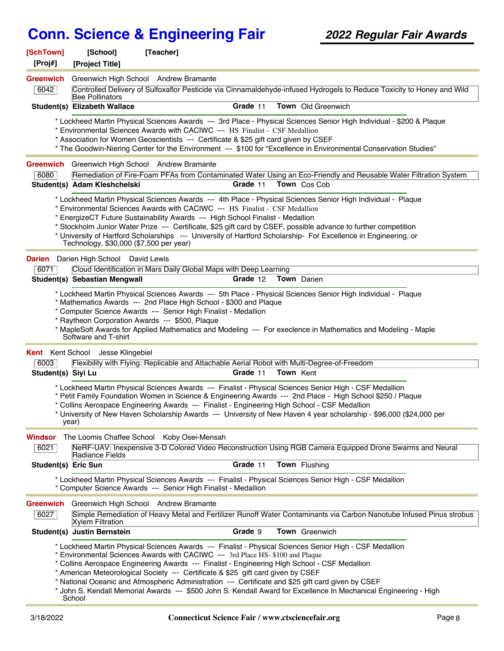| [SchTown]<br>[Proj#]     | [School]<br>[Project Title]                                                                                                                                                                                                                                                                                                                                                                                                                                                                                                                                    | [Teacher]                                                                                                                                                                                                                                                           |          |             |                                                                                                                                                                                                                                                                                                                                               |  |
|--------------------------|----------------------------------------------------------------------------------------------------------------------------------------------------------------------------------------------------------------------------------------------------------------------------------------------------------------------------------------------------------------------------------------------------------------------------------------------------------------------------------------------------------------------------------------------------------------|---------------------------------------------------------------------------------------------------------------------------------------------------------------------------------------------------------------------------------------------------------------------|----------|-------------|-----------------------------------------------------------------------------------------------------------------------------------------------------------------------------------------------------------------------------------------------------------------------------------------------------------------------------------------------|--|
| <b>Greenwich</b><br>6042 | <b>Bee Pollinators</b>                                                                                                                                                                                                                                                                                                                                                                                                                                                                                                                                         | Greenwich High School Andrew Bramante                                                                                                                                                                                                                               |          |             | Controlled Delivery of Sulfoxaflor Pesticide via Cinnamaldehyde-infused Hydrogels to Reduce Toxicity to Honey and Wild                                                                                                                                                                                                                        |  |
|                          | Student(s) Elizabeth Wallace                                                                                                                                                                                                                                                                                                                                                                                                                                                                                                                                   |                                                                                                                                                                                                                                                                     | Grade 11 |             | Town Old Greenwich                                                                                                                                                                                                                                                                                                                            |  |
|                          |                                                                                                                                                                                                                                                                                                                                                                                                                                                                                                                                                                | * Environmental Sciences Awards with CACIWC --- HS Finalist - CSF Medallion<br>* Association for Women Geoscientists --- Certificate & \$25 gift card given by CSEF                                                                                                 |          |             | * Lockheed Martin Physical Sciences Awards --- 3rd Place - Physical Sciences Senior High Individual - \$200 & Plaque<br>* The Goodwin-Niering Center for the Environment --- \$100 for "Excellence in Environmental Conservation Studies"                                                                                                     |  |
|                          |                                                                                                                                                                                                                                                                                                                                                                                                                                                                                                                                                                | Greenwich Greenwich High School Andrew Bramante                                                                                                                                                                                                                     |          |             |                                                                                                                                                                                                                                                                                                                                               |  |
| 6080                     | Student(s) Adam Kleshchelski                                                                                                                                                                                                                                                                                                                                                                                                                                                                                                                                   |                                                                                                                                                                                                                                                                     | Grade 11 |             | Remediation of Fire-Foam PFAs from Contaminated Water Using an Eco-Friendly and Reusable Water Filtration System<br>Town Cos Cob                                                                                                                                                                                                              |  |
|                          | * Lockheed Martin Physical Sciences Awards --- 4th Place - Physical Sciences Senior High Individual - Plaque<br>* Environmental Sciences Awards with CACIWC --- HS Finalist - CSF Medallion<br>* EnergizeCT Future Sustainability Awards --- High School Finalist - Medallion<br>* Stockholm Junior Water Prize --- Certificate, \$25 gift card by CSEF, possible advance to further competition<br>* University of Hartford Scholarships --- University of Hartford Scholarship- For Excellence in Engineering, or<br>Technology, \$30,000 (\$7,500 per year) |                                                                                                                                                                                                                                                                     |          |             |                                                                                                                                                                                                                                                                                                                                               |  |
|                          | <b>Darien</b> Darien High School David Lewis                                                                                                                                                                                                                                                                                                                                                                                                                                                                                                                   |                                                                                                                                                                                                                                                                     |          |             |                                                                                                                                                                                                                                                                                                                                               |  |
| 6071                     |                                                                                                                                                                                                                                                                                                                                                                                                                                                                                                                                                                | Cloud Identification in Mars Daily Global Maps with Deep Learning                                                                                                                                                                                                   |          |             |                                                                                                                                                                                                                                                                                                                                               |  |
|                          | Student(s) Sebastian Mengwall                                                                                                                                                                                                                                                                                                                                                                                                                                                                                                                                  |                                                                                                                                                                                                                                                                     | Grade 12 | Town Darien | * Lockheed Martin Physical Sciences Awards --- 5th Place - Physical Sciences Senior High Individual - Plaque                                                                                                                                                                                                                                  |  |
|                          | Software and T-shirt<br><b>Kent</b> Kent School Jesse Klingebiel                                                                                                                                                                                                                                                                                                                                                                                                                                                                                               | * Mathematics Awards --- 2nd Place High School - \$300 and Plaque<br>* Computer Science Awards --- Senior High Finalist - Medallion<br>* Raytheon Corporation Awards --- \$500, Plaque                                                                              |          |             | * MapleSoft Awards for Applied Mathematics and Modeling --- For execlence in Mathematics and Modeling - Maple                                                                                                                                                                                                                                 |  |
| 6003                     |                                                                                                                                                                                                                                                                                                                                                                                                                                                                                                                                                                | Flexibility with Flying: Replicable and Attachable Aerial Robot with Multi-Degree-of-Freedom                                                                                                                                                                        |          |             |                                                                                                                                                                                                                                                                                                                                               |  |
| Student(s) Siyi Lu       |                                                                                                                                                                                                                                                                                                                                                                                                                                                                                                                                                                |                                                                                                                                                                                                                                                                     | Grade 11 | Town Kent   |                                                                                                                                                                                                                                                                                                                                               |  |
|                          | year)                                                                                                                                                                                                                                                                                                                                                                                                                                                                                                                                                          | * Collins Aerospace Engineering Awards --- Finalist - Engineering High School - CSF Medallion                                                                                                                                                                       |          |             | * Lockheed Martin Physical Sciences Awards --- Finalist - Physical Sciences Senior High - CSF Medallion<br>* Petit Family Foundation Women in Science & Engineering Awards --- 2nd Place - High School \$250 / Plaque<br>* University of New Haven Scholarship Awards --- University of New Haven 4 year scholarship - \$96,000 (\$24,000 per |  |
| Windsor                  |                                                                                                                                                                                                                                                                                                                                                                                                                                                                                                                                                                | The Loomis Chaffee School Koby Osei-Mensah                                                                                                                                                                                                                          |          |             |                                                                                                                                                                                                                                                                                                                                               |  |
| 6021                     | Radiance Fields                                                                                                                                                                                                                                                                                                                                                                                                                                                                                                                                                |                                                                                                                                                                                                                                                                     |          |             | NeRF-UAV: Inexpensive 3-D Colored Video Reconstruction Using RGB Camera Equipped Drone Swarms and Neural                                                                                                                                                                                                                                      |  |
| Student(s) Eric Sun      |                                                                                                                                                                                                                                                                                                                                                                                                                                                                                                                                                                |                                                                                                                                                                                                                                                                     | Grade 11 |             | Town Flushing                                                                                                                                                                                                                                                                                                                                 |  |
|                          |                                                                                                                                                                                                                                                                                                                                                                                                                                                                                                                                                                | * Computer Science Awards --- Senior High Finalist - Medallion                                                                                                                                                                                                      |          |             | * Lockheed Martin Physical Sciences Awards --- Finalist - Physical Sciences Senior High - CSF Medallion                                                                                                                                                                                                                                       |  |
| <b>Greenwich</b><br>6027 | <b>Xylem Filtration</b>                                                                                                                                                                                                                                                                                                                                                                                                                                                                                                                                        | Greenwich High School Andrew Bramante                                                                                                                                                                                                                               |          |             | Simple Remediation of Heavy Metal and Fertilizer Runoff Water Contaminants via Carbon Nanotube Infused Pinus strobus                                                                                                                                                                                                                          |  |
|                          | Student(s) Justin Bernstein                                                                                                                                                                                                                                                                                                                                                                                                                                                                                                                                    |                                                                                                                                                                                                                                                                     | Grade 9  |             | Town Greenwich                                                                                                                                                                                                                                                                                                                                |  |
|                          | School                                                                                                                                                                                                                                                                                                                                                                                                                                                                                                                                                         | * Environmental Sciences Awards with CACIWC --- 3rd Place HS- \$100 and Plaque<br>* Collins Aerospace Engineering Awards --- Finalist - Engineering High School - CSF Medallion<br>* American Meteorological Society --- Certificate & \$25 gift card given by CSEF |          |             | * Lockheed Martin Physical Sciences Awards --- Finalist - Physical Sciences Senior High - CSF Medallion<br>* National Oceanic and Atmospheric Administration --- Certificate and \$25 gift card given by CSEF<br>* John S. Kendall Memorial Awards --- \$500 John S. Kendall Award for Excellence In Mechanical Engineering - High            |  |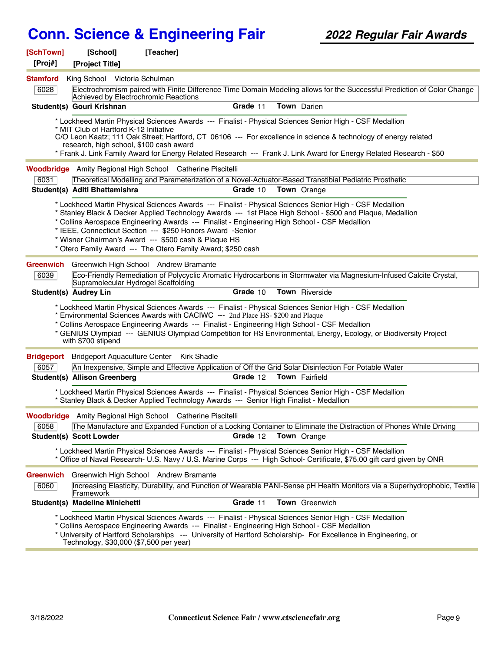| [SchTown]<br>[Proj#] | [School]<br>[Project Title]                                                       | [Teacher]                                                                                                                                                                                                                                                                                                                                                                                                                                                                                                   |  |
|----------------------|-----------------------------------------------------------------------------------|-------------------------------------------------------------------------------------------------------------------------------------------------------------------------------------------------------------------------------------------------------------------------------------------------------------------------------------------------------------------------------------------------------------------------------------------------------------------------------------------------------------|--|
| <b>Stamford</b>      | King School Victoria Schulman                                                     |                                                                                                                                                                                                                                                                                                                                                                                                                                                                                                             |  |
| 6028                 | Achieved by Electrochromic Reactions                                              | Electrochromism paired with Finite Difference Time Domain Modeling allows for the Successful Prediction of Color Change                                                                                                                                                                                                                                                                                                                                                                                     |  |
|                      | Student(s) Gouri Krishnan                                                         | Grade 11<br>Town Darien                                                                                                                                                                                                                                                                                                                                                                                                                                                                                     |  |
|                      |                                                                                   | * Lockheed Martin Physical Sciences Awards --- Finalist - Physical Sciences Senior High - CSF Medallion                                                                                                                                                                                                                                                                                                                                                                                                     |  |
|                      | * MIT Club of Hartford K-12 Initiative<br>research, high school, \$100 cash award | C/O Leon Kaatz; 111 Oak Street; Hartford, CT 06106 --- For excellence in science & technology of energy related                                                                                                                                                                                                                                                                                                                                                                                             |  |
|                      |                                                                                   | * Frank J. Link Family Award for Energy Related Research --- Frank J. Link Award for Energy Related Research - \$50                                                                                                                                                                                                                                                                                                                                                                                         |  |
|                      |                                                                                   | <b>Woodbridge</b> Amity Regional High School Catherine Piscitelli                                                                                                                                                                                                                                                                                                                                                                                                                                           |  |
| 6031                 |                                                                                   | Theoretical Modelling and Parameterization of a Novel-Actuator-Based Transtibial Pediatric Prosthetic                                                                                                                                                                                                                                                                                                                                                                                                       |  |
|                      | Student(s) Aditi Bhattamishra                                                     | Grade 10<br><b>Town</b> Orange                                                                                                                                                                                                                                                                                                                                                                                                                                                                              |  |
|                      |                                                                                   | * Lockheed Martin Physical Sciences Awards --- Finalist - Physical Sciences Senior High - CSF Medallion<br>* Stanley Black & Decker Applied Technology Awards --- 1st Place High School - \$500 and Plaque, Medallion<br>* Collins Aerospace Engineering Awards --- Finalist - Engineering High School - CSF Medallion<br>* IEEE, Connecticut Section --- \$250 Honors Award -Senior<br>* Wisner Chairman's Award --- \$500 cash & Plaque HS<br>* Otero Family Award --- The Otero Family Award; \$250 cash |  |
|                      |                                                                                   | <b>Greenwich</b> Greenwich High School Andrew Bramante                                                                                                                                                                                                                                                                                                                                                                                                                                                      |  |
| 6039                 | Supramolecular Hydrogel Scaffolding                                               | Eco-Friendly Remediation of Polycyclic Aromatic Hydrocarbons in Stormwater via Magnesium-Infused Calcite Crystal,                                                                                                                                                                                                                                                                                                                                                                                           |  |
|                      | Student(s) Audrey Lin                                                             | Grade 10<br>Town Riverside                                                                                                                                                                                                                                                                                                                                                                                                                                                                                  |  |
|                      | with \$700 stipend                                                                | * Lockheed Martin Physical Sciences Awards --- Finalist - Physical Sciences Senior High - CSF Medallion<br>* Environmental Sciences Awards with CACIWC --- 2nd Place HS- \$200 and Plaque<br>* Collins Aerospace Engineering Awards --- Finalist - Engineering High School - CSF Medallion<br>* GENIUS Olympiad --- GENIUS Olympiad Competition for HS Environmental, Energy, Ecology, or Biodiversity Project                                                                                              |  |
| <b>Bridgeport</b>    |                                                                                   | Bridgeport Aquaculture Center Kirk Shadle                                                                                                                                                                                                                                                                                                                                                                                                                                                                   |  |
| 6057                 |                                                                                   | An Inexpensive, Simple and Effective Application of Off the Grid Solar Disinfection For Potable Water                                                                                                                                                                                                                                                                                                                                                                                                       |  |
|                      | <b>Student(s) Allison Greenberg</b>                                               | Grade 12<br><b>Town</b> Fairfield                                                                                                                                                                                                                                                                                                                                                                                                                                                                           |  |
|                      |                                                                                   | * Lockheed Martin Physical Sciences Awards --- Finalist - Physical Sciences Senior High - CSF Medallion<br>* Stanley Black & Decker Applied Technology Awards --- Senior High Finalist - Medallion                                                                                                                                                                                                                                                                                                          |  |
|                      |                                                                                   | Woodbridge Amity Regional High School Catherine Piscitelli                                                                                                                                                                                                                                                                                                                                                                                                                                                  |  |
| 6058                 |                                                                                   | The Manufacture and Expanded Function of a Locking Container to Eliminate the Distraction of Phones While Driving                                                                                                                                                                                                                                                                                                                                                                                           |  |
|                      | <b>Student(s) Scott Lowder</b>                                                    | Grade 12<br>Town Orange                                                                                                                                                                                                                                                                                                                                                                                                                                                                                     |  |
|                      |                                                                                   | * Lockheed Martin Physical Sciences Awards --- Finalist - Physical Sciences Senior High - CSF Medallion<br>* Office of Naval Research- U.S. Navy / U.S. Marine Corps --- High School- Certificate, \$75.00 gift card given by ONR                                                                                                                                                                                                                                                                           |  |
| Greenwich            |                                                                                   | Greenwich High School Andrew Bramante                                                                                                                                                                                                                                                                                                                                                                                                                                                                       |  |
| 6060                 | Framework                                                                         | Increasing Elasticity, Durability, and Function of Wearable PANI-Sense pH Health Monitors via a Superhydrophobic, Textile                                                                                                                                                                                                                                                                                                                                                                                   |  |
|                      | Student(s) Madeline Minichetti                                                    | Town Greenwich<br>Grade 11                                                                                                                                                                                                                                                                                                                                                                                                                                                                                  |  |
|                      | Technology, \$30,000 (\$7,500 per year)                                           | * Lockheed Martin Physical Sciences Awards --- Finalist - Physical Sciences Senior High - CSF Medallion<br>* Collins Aerospace Engineering Awards --- Finalist - Engineering High School - CSF Medallion<br>* University of Hartford Scholarships --- University of Hartford Scholarship- For Excellence in Engineering, or                                                                                                                                                                                 |  |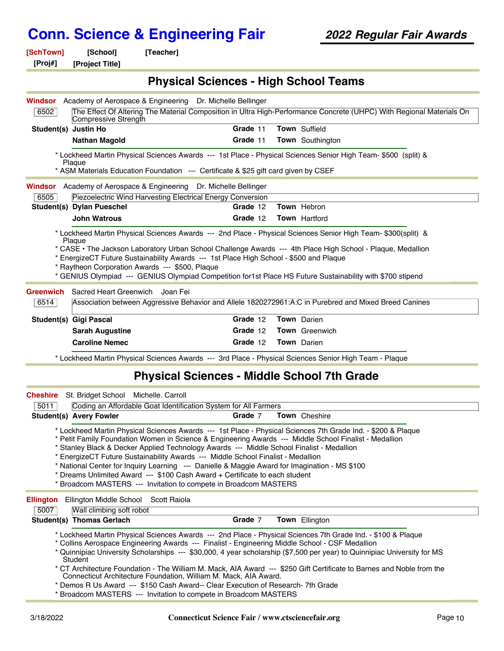| [SchTown] | [School] | [Teacher] |
|-----------|----------|-----------|
|-----------|----------|-----------|

**[Proj#] [Project Title]**

#### **Physical Sciences - High School Teams**

|                                                                                                                                                                                                                 | <b>Windsor</b> Academy of Aerospace & Engineering Dr. Michelle Bellinger  |                                                                 |  |                                                                                                                                                                                                                     |  |  |
|-----------------------------------------------------------------------------------------------------------------------------------------------------------------------------------------------------------------|---------------------------------------------------------------------------|-----------------------------------------------------------------|--|---------------------------------------------------------------------------------------------------------------------------------------------------------------------------------------------------------------------|--|--|
| 6502                                                                                                                                                                                                            | Compressive Strength                                                      |                                                                 |  | The Effect Of Altering The Material Composition in Ultra High-Performance Concrete (UHPC) With Regional Materials On                                                                                                |  |  |
| Student(s) Justin Ho                                                                                                                                                                                            |                                                                           | Grade 11                                                        |  | Town Suffield                                                                                                                                                                                                       |  |  |
|                                                                                                                                                                                                                 | <b>Nathan Magold</b>                                                      | Grade 11                                                        |  | <b>Town</b> Southington                                                                                                                                                                                             |  |  |
| * Lockheed Martin Physical Sciences Awards --- 1st Place - Physical Sciences Senior High Team- \$500 (split) &<br>Plaque<br>* ASM Materials Education Foundation --- Certificate & \$25 gift card given by CSEF |                                                                           |                                                                 |  |                                                                                                                                                                                                                     |  |  |
|                                                                                                                                                                                                                 | Windsor Academy of Aerospace & Engineering Dr. Michelle Bellinger         |                                                                 |  |                                                                                                                                                                                                                     |  |  |
| 6505                                                                                                                                                                                                            |                                                                           | Piezoelectric Wind Harvesting Electrical Energy Conversion      |  |                                                                                                                                                                                                                     |  |  |
|                                                                                                                                                                                                                 | Student(s) Dylan Pueschel                                                 | Grade 12                                                        |  | Town Hebron                                                                                                                                                                                                         |  |  |
|                                                                                                                                                                                                                 | <b>John Watrous</b>                                                       | Grade 12                                                        |  | <b>Town Hartford</b>                                                                                                                                                                                                |  |  |
| <b>Greenwich</b><br>6514                                                                                                                                                                                        | * Raytheon Corporation Awards --- \$500, Plaque<br>Sacred Heart Greenwich | Joan Fei                                                        |  | * GENIUS Olympiad --- GENIUS Olympiad Competition for1st Place HS Future Sustainability with \$700 stipend<br>Association between Aggressive Behavior and Allele 1820272961:A:C in Purebred and Mixed Breed Canines |  |  |
|                                                                                                                                                                                                                 | <b>Student(s) Gigi Pascal</b>                                             | Grade 12                                                        |  | Town Darien                                                                                                                                                                                                         |  |  |
|                                                                                                                                                                                                                 | <b>Sarah Augustine</b>                                                    | Grade 12                                                        |  | Town Greenwich                                                                                                                                                                                                      |  |  |
|                                                                                                                                                                                                                 | <b>Caroline Nemec</b>                                                     | Grade 12                                                        |  | Town Darien                                                                                                                                                                                                         |  |  |
|                                                                                                                                                                                                                 |                                                                           |                                                                 |  | * Lockheed Martin Physical Sciences Awards --- 3rd Place - Physical Sciences Senior High Team - Plaque                                                                                                              |  |  |
| <b>Physical Sciences - Middle School 7th Grade</b>                                                                                                                                                              |                                                                           |                                                                 |  |                                                                                                                                                                                                                     |  |  |
| <b>Cheshire</b>                                                                                                                                                                                                 | St. Bridget School<br>Michelle. Carroll                                   |                                                                 |  |                                                                                                                                                                                                                     |  |  |
| 5011                                                                                                                                                                                                            |                                                                           | Coding an Affordable Goat Identification System for All Farmers |  |                                                                                                                                                                                                                     |  |  |
|                                                                                                                                                                                                                 | <b>Student(s) Avery Fowler</b>                                            | Grade 7                                                         |  | Town Cheshire                                                                                                                                                                                                       |  |  |
|                                                                                                                                                                                                                 |                                                                           |                                                                 |  | * Lockheed Martin Physical Sciences Awards --- 1st Place - Physical Sciences 7th Grade Ind. - \$200 & Plaque<br>* Detit Formily Foundation Weman in Coionee & Fraincesing Auserda Middle Cebeal Finalist Modellian  |  |  |

Petit Family Foundation Women in Science & Engineering Awards --- Middle School Finalist - Medallion

- \* Stanley Black & Decker Applied Technology Awards --- Middle School Finalist Medallion
- \* EnergizeCT Future Sustainability Awards --- Middle School Finalist Medallion

\* National Center for Inquiry Learning --- Danielle & Maggie Award for Imagination - MS \$100

- \* Dreams Unlimited Award --- \$100 Cash Award + Certificate to each student
- \* Broadcom MASTERS --- Invitation to compete in Broadcom MASTERS

**Student(s) Thomas Gerlach Grade** 7 **Town** Ellington

**Ellington** Ellington Middle School Scott Raiola

| 5007 | Wall climbing soft robot |  |
|------|--------------------------|--|
|      |                          |  |

\* Lockheed Martin Physical Sciences Awards --- 2nd Place - Physical Sciences 7th Grade Ind. - \$100 & Plaque

\* Collins Aerospace Engineering Awards --- Finalist - Engineering Middle School - CSF Medallion

\* Quinnipiac University Scholarships --- \$30,000, 4 year scholarship (\$7,500 per year) to Quinnipiac University for MS **Student** 

\* CT Architecture Foundation - The William M. Mack, AIA Award --- \$250 Gift Certificate to Barnes and Noble from the Connecticut Architecture Foundation, William M. Mack, AIA Award.

\* Demos R Us Award --- \$150 Cash Award-- Clear Execution of Research- 7th Grade

\* Broadcom MASTERS --- Invitation to compete in Broadcom MASTERS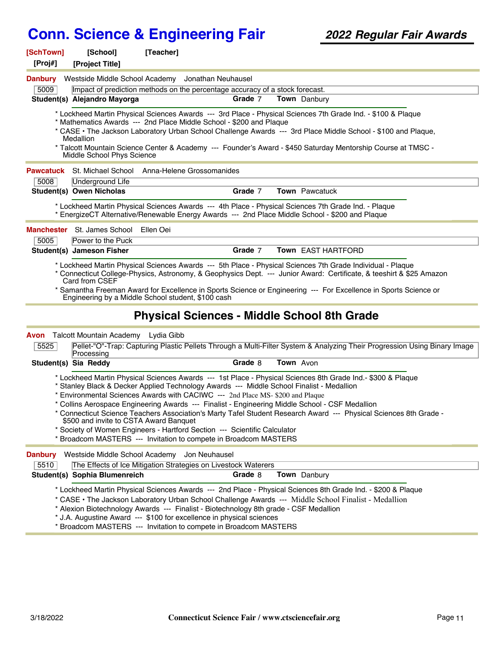| [SchTown]<br>[Proj#] |                                                                                                                                                                                                                                                                                                                                                                                                                                                                                                                                                                                                                                                                                                               | [School]<br>[Project Title]                                          | [Teacher] |                                                                                                 |  |           |                                                                                                                                                                                                                                                                                                                                               |
|----------------------|---------------------------------------------------------------------------------------------------------------------------------------------------------------------------------------------------------------------------------------------------------------------------------------------------------------------------------------------------------------------------------------------------------------------------------------------------------------------------------------------------------------------------------------------------------------------------------------------------------------------------------------------------------------------------------------------------------------|----------------------------------------------------------------------|-----------|-------------------------------------------------------------------------------------------------|--|-----------|-----------------------------------------------------------------------------------------------------------------------------------------------------------------------------------------------------------------------------------------------------------------------------------------------------------------------------------------------|
| <b>Danbury</b>       |                                                                                                                                                                                                                                                                                                                                                                                                                                                                                                                                                                                                                                                                                                               |                                                                      |           | Westside Middle School Academy Jonathan Neuhausel                                               |  |           |                                                                                                                                                                                                                                                                                                                                               |
| 5009                 |                                                                                                                                                                                                                                                                                                                                                                                                                                                                                                                                                                                                                                                                                                               |                                                                      |           | Impact of prediction methods on the percentage accuracy of a stock forecast.                    |  |           |                                                                                                                                                                                                                                                                                                                                               |
|                      |                                                                                                                                                                                                                                                                                                                                                                                                                                                                                                                                                                                                                                                                                                               | Student(s) Alejandro Mayorga                                         |           | Grade 7                                                                                         |  |           | Town Danbury                                                                                                                                                                                                                                                                                                                                  |
|                      |                                                                                                                                                                                                                                                                                                                                                                                                                                                                                                                                                                                                                                                                                                               | Medallion<br>Middle School Phys Science                              |           | * Mathematics Awards --- 2nd Place Middle School - \$200 and Plaque                             |  |           | * Lockheed Martin Physical Sciences Awards --- 3rd Place - Physical Sciences 7th Grade Ind. - \$100 & Plaque<br>* CASE • The Jackson Laboratory Urban School Challenge Awards --- 3rd Place Middle School - \$100 and Plaque,<br>* Talcott Mountain Science Center & Academy --- Founder's Award - \$450 Saturday Mentorship Course at TMSC - |
| <b>Pawcatuck</b>     |                                                                                                                                                                                                                                                                                                                                                                                                                                                                                                                                                                                                                                                                                                               | St. Michael School                                                   |           | Anna-Helene Grossomanides                                                                       |  |           |                                                                                                                                                                                                                                                                                                                                               |
| 5008                 |                                                                                                                                                                                                                                                                                                                                                                                                                                                                                                                                                                                                                                                                                                               | Underground Life                                                     |           |                                                                                                 |  |           |                                                                                                                                                                                                                                                                                                                                               |
|                      |                                                                                                                                                                                                                                                                                                                                                                                                                                                                                                                                                                                                                                                                                                               | Student(s) Owen Nicholas                                             |           | Grade 7                                                                                         |  |           | <b>Town</b> Pawcatuck                                                                                                                                                                                                                                                                                                                         |
|                      |                                                                                                                                                                                                                                                                                                                                                                                                                                                                                                                                                                                                                                                                                                               |                                                                      |           | * EnergizeCT Alternative/Renewable Energy Awards --- 2nd Place Middle School - \$200 and Plaque |  |           | * Lockheed Martin Physical Sciences Awards --- 4th Place - Physical Sciences 7th Grade Ind. - Plaque                                                                                                                                                                                                                                          |
|                      |                                                                                                                                                                                                                                                                                                                                                                                                                                                                                                                                                                                                                                                                                                               | <b>Manchester</b> St. James School                                   | Ellen Oei |                                                                                                 |  |           |                                                                                                                                                                                                                                                                                                                                               |
| 5005                 |                                                                                                                                                                                                                                                                                                                                                                                                                                                                                                                                                                                                                                                                                                               | Power to the Puck                                                    |           |                                                                                                 |  |           |                                                                                                                                                                                                                                                                                                                                               |
|                      |                                                                                                                                                                                                                                                                                                                                                                                                                                                                                                                                                                                                                                                                                                               | Student(s) Jameson Fisher                                            |           | Grade 7                                                                                         |  |           | Town EAST HARTFORD                                                                                                                                                                                                                                                                                                                            |
|                      |                                                                                                                                                                                                                                                                                                                                                                                                                                                                                                                                                                                                                                                                                                               | Card from CSEF<br>Engineering by a Middle School student, \$100 cash |           | <b>Physical Sciences - Middle School 8th Grade</b>                                              |  |           | * Samantha Freeman Award for Excellence in Sports Science or Engineering --- For Excellence in Sports Science or                                                                                                                                                                                                                              |
|                      |                                                                                                                                                                                                                                                                                                                                                                                                                                                                                                                                                                                                                                                                                                               | <b>Avon</b> Talcott Mountain Academy Lydia Gibb                      |           |                                                                                                 |  |           |                                                                                                                                                                                                                                                                                                                                               |
| 5525                 |                                                                                                                                                                                                                                                                                                                                                                                                                                                                                                                                                                                                                                                                                                               | Processing                                                           |           |                                                                                                 |  |           | Pellet-"O"-Trap: Capturing Plastic Pellets Through a Multi-Filter System & Analyzing Their Progression Using Binary Image                                                                                                                                                                                                                     |
|                      |                                                                                                                                                                                                                                                                                                                                                                                                                                                                                                                                                                                                                                                                                                               | Student(s) Sia Reddy                                                 |           | Grade 8                                                                                         |  | Town Avon |                                                                                                                                                                                                                                                                                                                                               |
|                      | * Lockheed Martin Physical Sciences Awards --- 1st Place - Physical Sciences 8th Grade Ind.- \$300 & Plaque<br>* Stanley Black & Decker Applied Technology Awards --- Middle School Finalist - Medallion<br>* Environmental Sciences Awards with CACIWC --- 2nd Place MS- \$200 and Plaque<br>* Collins Aerospace Engineering Awards --- Finalist - Engineering Middle School - CSF Medallion<br>* Connecticut Science Teachers Association's Marty Tafel Student Research Award --- Physical Sciences 8th Grade -<br>\$500 and invite to CSTA Award Banquet<br>* Society of Women Engineers - Hartford Section --- Scientific Calculator<br>* Broadcom MASTERS --- Invitation to compete in Broadcom MASTERS |                                                                      |           |                                                                                                 |  |           |                                                                                                                                                                                                                                                                                                                                               |
| <b>Danbury</b>       |                                                                                                                                                                                                                                                                                                                                                                                                                                                                                                                                                                                                                                                                                                               | Westside Middle School Academy Jon Neuhausel                         |           |                                                                                                 |  |           |                                                                                                                                                                                                                                                                                                                                               |
| 5510                 |                                                                                                                                                                                                                                                                                                                                                                                                                                                                                                                                                                                                                                                                                                               |                                                                      |           | The Effects of Ice Mitigation Strategies on Livestock Waterers                                  |  |           |                                                                                                                                                                                                                                                                                                                                               |
|                      |                                                                                                                                                                                                                                                                                                                                                                                                                                                                                                                                                                                                                                                                                                               | Student(s) Sophia Blumenreich                                        |           | Grade 8                                                                                         |  |           | Town Danbury                                                                                                                                                                                                                                                                                                                                  |
|                      |                                                                                                                                                                                                                                                                                                                                                                                                                                                                                                                                                                                                                                                                                                               |                                                                      |           | * Alexion Biotechnology Awards --- Finalist - Biotechnology 8th grade - CSF Medallion           |  |           | * Lockheed Martin Physical Sciences Awards --- 2nd Place - Physical Sciences 8th Grade Ind. - \$200 & Plaque<br>* CASE . The Jackson Laboratory Urban School Challenge Awards --- Middle School Finalist - Medallion                                                                                                                          |

\* J.A. Augustine Award --- \$100 for excellence in physical sciences

\* Broadcom MASTERS --- Invitation to compete in Broadcom MASTERS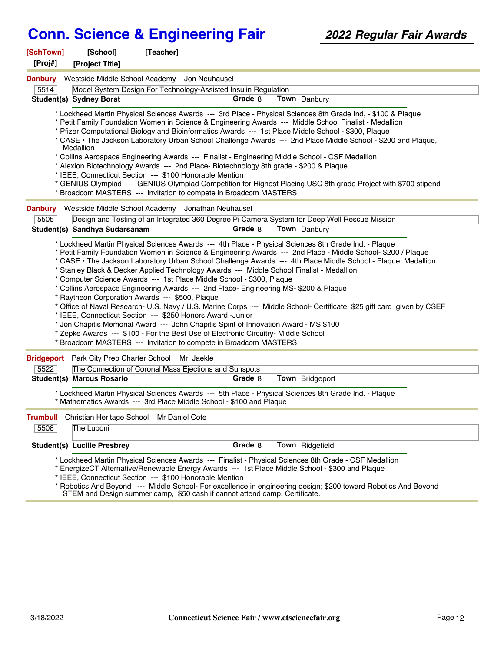| [SchTown]<br>[Proj#]    | [School]<br>[Project Title]        | [Teacher]                                                                                                                                                                                                                                                                                                                                                                                                                                                                                                                                                                                                                      |         |                                                                                                                                                                                                                                                                                                                                                                                                                                                                                                                                                                                                                                                                      |  |
|-------------------------|------------------------------------|--------------------------------------------------------------------------------------------------------------------------------------------------------------------------------------------------------------------------------------------------------------------------------------------------------------------------------------------------------------------------------------------------------------------------------------------------------------------------------------------------------------------------------------------------------------------------------------------------------------------------------|---------|----------------------------------------------------------------------------------------------------------------------------------------------------------------------------------------------------------------------------------------------------------------------------------------------------------------------------------------------------------------------------------------------------------------------------------------------------------------------------------------------------------------------------------------------------------------------------------------------------------------------------------------------------------------------|--|
| <b>Danbury</b>          |                                    | Westside Middle School Academy Jon Neuhausel                                                                                                                                                                                                                                                                                                                                                                                                                                                                                                                                                                                   |         |                                                                                                                                                                                                                                                                                                                                                                                                                                                                                                                                                                                                                                                                      |  |
| 5514                    |                                    | Model System Design For Technology-Assisted Insulin Regulation                                                                                                                                                                                                                                                                                                                                                                                                                                                                                                                                                                 |         |                                                                                                                                                                                                                                                                                                                                                                                                                                                                                                                                                                                                                                                                      |  |
|                         | <b>Student(s) Sydney Borst</b>     |                                                                                                                                                                                                                                                                                                                                                                                                                                                                                                                                                                                                                                | Grade 8 | Town Danbury                                                                                                                                                                                                                                                                                                                                                                                                                                                                                                                                                                                                                                                         |  |
|                         | Medallion                          | * Alexion Biotechnology Awards --- 2nd Place- Biotechnology 8th grade - \$200 & Plaque<br>* IEEE, Connecticut Section --- \$100 Honorable Mention<br>* Broadcom MASTERS --- Invitation to compete in Broadcom MASTERS                                                                                                                                                                                                                                                                                                                                                                                                          |         | * Lockheed Martin Physical Sciences Awards --- 3rd Place - Physical Sciences 8th Grade Ind, - \$100 & Plaque<br>* Petit Family Foundation Women in Science & Engineering Awards --- Middle School Finalist - Medallion<br>* Pfizer Computational Biology and Bioinformatics Awards --- 1st Place Middle School - \$300, Plaque<br>* CASE • The Jackson Laboratory Urban School Challenge Awards --- 2nd Place Middle School - \$200 and Plaque,<br>* Collins Aerospace Engineering Awards --- Finalist - Engineering Middle School - CSF Medallion<br>* GENIUS Olympiad --- GENIUS Olympiad Competition for Highest Placing USC 8th grade Project with \$700 stipend |  |
| <b>Danbury</b>          |                                    | Westside Middle School Academy Jonathan Neuhausel                                                                                                                                                                                                                                                                                                                                                                                                                                                                                                                                                                              |         |                                                                                                                                                                                                                                                                                                                                                                                                                                                                                                                                                                                                                                                                      |  |
| 5505                    |                                    |                                                                                                                                                                                                                                                                                                                                                                                                                                                                                                                                                                                                                                |         | Design and Testing of an Integrated 360 Degree Pi Camera System for Deep Well Rescue Mission                                                                                                                                                                                                                                                                                                                                                                                                                                                                                                                                                                         |  |
|                         | Student(s) Sandhya Sudarsanam      |                                                                                                                                                                                                                                                                                                                                                                                                                                                                                                                                                                                                                                | Grade 8 | Town Danbury                                                                                                                                                                                                                                                                                                                                                                                                                                                                                                                                                                                                                                                         |  |
|                         |                                    | * Stanley Black & Decker Applied Technology Awards --- Middle School Finalist - Medallion<br>* Computer Science Awards --- 1st Place Middle School - \$300, Plaque<br>* Collins Aerospace Engineering Awards --- 2nd Place- Engineering MS- \$200 & Plaque<br>* Raytheon Corporation Awards --- \$500, Plaque<br>* IEEE, Connecticut Section --- \$250 Honors Award -Junior<br>* Jon Chapitis Memorial Award --- John Chapitis Spirit of Innovation Award - MS \$100<br>* Zepke Awards --- \$100 - For the Best Use of Electronic Circuitry- Middle School<br>* Broadcom MASTERS --- Invitation to compete in Broadcom MASTERS |         | * Petit Family Foundation Women in Science & Engineering Awards --- 2nd Place - Middle School- \$200 / Plaque<br>* CASE · The Jackson Laboratory Urban School Challenge Awards --- 4th Place Middle School - Plaque, Medallion<br>* Office of Naval Research- U.S. Navy / U.S. Marine Corps --- Middle School- Certificate, \$25 gift card given by CSEF                                                                                                                                                                                                                                                                                                             |  |
|                         |                                    | Bridgeport Park City Prep Charter School Mr. Jaekle                                                                                                                                                                                                                                                                                                                                                                                                                                                                                                                                                                            |         |                                                                                                                                                                                                                                                                                                                                                                                                                                                                                                                                                                                                                                                                      |  |
| 5522                    |                                    | The Connection of Coronal Mass Ejections and Sunspots                                                                                                                                                                                                                                                                                                                                                                                                                                                                                                                                                                          |         |                                                                                                                                                                                                                                                                                                                                                                                                                                                                                                                                                                                                                                                                      |  |
|                         | <b>Student(s) Marcus Rosario</b>   | * Mathematics Awards --- 3rd Place Middle School - \$100 and Plaque                                                                                                                                                                                                                                                                                                                                                                                                                                                                                                                                                            | Grade 8 | Town Bridgeport<br>* Lockheed Martin Physical Sciences Awards --- 5th Place - Physical Sciences 8th Grade Ind. - Plaque                                                                                                                                                                                                                                                                                                                                                                                                                                                                                                                                              |  |
| <b>Trumbull</b><br>5508 | The Luboni                         | Christian Heritage School Mr Daniel Cote                                                                                                                                                                                                                                                                                                                                                                                                                                                                                                                                                                                       |         |                                                                                                                                                                                                                                                                                                                                                                                                                                                                                                                                                                                                                                                                      |  |
|                         | <b>Student(s) Lucille Presbrey</b> |                                                                                                                                                                                                                                                                                                                                                                                                                                                                                                                                                                                                                                | Grade 8 | Town Ridgefield                                                                                                                                                                                                                                                                                                                                                                                                                                                                                                                                                                                                                                                      |  |
|                         |                                    | * IEEE, Connecticut Section --- \$100 Honorable Mention<br>STEM and Design summer camp, \$50 cash if cannot attend camp. Certificate.                                                                                                                                                                                                                                                                                                                                                                                                                                                                                          |         | * Lockheed Martin Physical Sciences Awards --- Finalist - Physical Sciences 8th Grade - CSF Medallion<br>* EnergizeCT Alternative/Renewable Energy Awards --- 1st Place Middle School - \$300 and Plaque<br>* Robotics And Beyond --- Middle School- For excellence in engineering design; \$200 toward Robotics And Beyond                                                                                                                                                                                                                                                                                                                                          |  |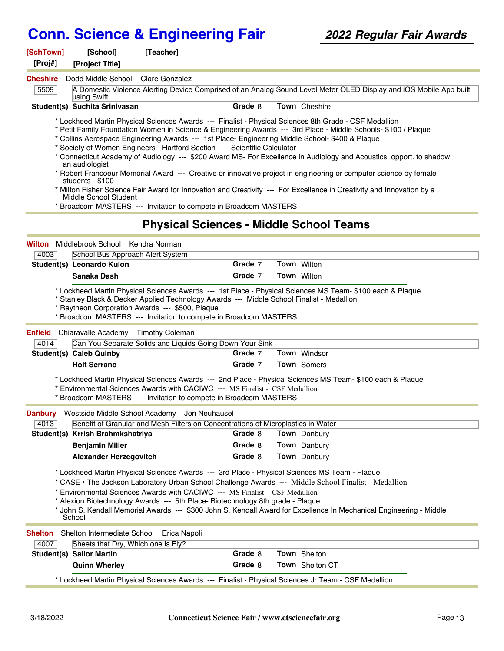| [SchTown]                                                                                                                                                                                                                                                                                                                                                                                                                                                                                               | [School]                                                    | [Teacher]                                                                                                                                                                                                                                        |         |  |                                                                                                                                                                                                                                                                                                                                                                                                                                                                                                                                                                                              |  |
|---------------------------------------------------------------------------------------------------------------------------------------------------------------------------------------------------------------------------------------------------------------------------------------------------------------------------------------------------------------------------------------------------------------------------------------------------------------------------------------------------------|-------------------------------------------------------------|--------------------------------------------------------------------------------------------------------------------------------------------------------------------------------------------------------------------------------------------------|---------|--|----------------------------------------------------------------------------------------------------------------------------------------------------------------------------------------------------------------------------------------------------------------------------------------------------------------------------------------------------------------------------------------------------------------------------------------------------------------------------------------------------------------------------------------------------------------------------------------------|--|
| [Proj#]                                                                                                                                                                                                                                                                                                                                                                                                                                                                                                 | [Project Title]                                             |                                                                                                                                                                                                                                                  |         |  |                                                                                                                                                                                                                                                                                                                                                                                                                                                                                                                                                                                              |  |
| <b>Cheshire</b>                                                                                                                                                                                                                                                                                                                                                                                                                                                                                         | Dodd Middle School Clare Gonzalez                           |                                                                                                                                                                                                                                                  |         |  |                                                                                                                                                                                                                                                                                                                                                                                                                                                                                                                                                                                              |  |
| 5509                                                                                                                                                                                                                                                                                                                                                                                                                                                                                                    | using Swift                                                 |                                                                                                                                                                                                                                                  |         |  | A Domestic Violence Alerting Device Comprised of an Analog Sound Level Meter OLED Display and iOS Mobile App built                                                                                                                                                                                                                                                                                                                                                                                                                                                                           |  |
|                                                                                                                                                                                                                                                                                                                                                                                                                                                                                                         | Student(s) Suchita Srinivasan                               |                                                                                                                                                                                                                                                  | Grade 8 |  | Town Cheshire                                                                                                                                                                                                                                                                                                                                                                                                                                                                                                                                                                                |  |
|                                                                                                                                                                                                                                                                                                                                                                                                                                                                                                         | an audiologist<br>students - \$100<br>Middle School Student | * Collins Aerospace Engineering Awards --- 1st Place- Engineering Middle School- \$400 & Plaque<br>* Society of Women Engineers - Hartford Section --- Scientific Calculator<br>* Broadcom MASTERS --- Invitation to compete in Broadcom MASTERS |         |  | * Lockheed Martin Physical Sciences Awards --- Finalist - Physical Sciences 8th Grade - CSF Medallion<br>* Petit Family Foundation Women in Science & Engineering Awards --- 3rd Place - Middle Schools- \$100 / Plaque<br>* Connecticut Academy of Audiology --- \$200 Award MS- For Excellence in Audiology and Acoustics, opport. to shadow<br>* Robert Francoeur Memorial Award --- Creative or innovative project in engineering or computer science by female<br>* Milton Fisher Science Fair Award for Innovation and Creativity --- For Excellence in Creativity and Innovation by a |  |
|                                                                                                                                                                                                                                                                                                                                                                                                                                                                                                         |                                                             | <b>Physical Sciences - Middle School Teams</b>                                                                                                                                                                                                   |         |  |                                                                                                                                                                                                                                                                                                                                                                                                                                                                                                                                                                                              |  |
| <b>Wilton</b>                                                                                                                                                                                                                                                                                                                                                                                                                                                                                           | Middlebrook School Kendra Norman                            |                                                                                                                                                                                                                                                  |         |  |                                                                                                                                                                                                                                                                                                                                                                                                                                                                                                                                                                                              |  |
| 4003                                                                                                                                                                                                                                                                                                                                                                                                                                                                                                    | School Bus Approach Alert System                            |                                                                                                                                                                                                                                                  |         |  |                                                                                                                                                                                                                                                                                                                                                                                                                                                                                                                                                                                              |  |
|                                                                                                                                                                                                                                                                                                                                                                                                                                                                                                         | Student(s) Leonardo Kulon                                   |                                                                                                                                                                                                                                                  | Grade 7 |  | <b>Town Wilton</b>                                                                                                                                                                                                                                                                                                                                                                                                                                                                                                                                                                           |  |
|                                                                                                                                                                                                                                                                                                                                                                                                                                                                                                         | Sanaka Dash                                                 |                                                                                                                                                                                                                                                  | Grade 7 |  | <b>Town</b> Wilton                                                                                                                                                                                                                                                                                                                                                                                                                                                                                                                                                                           |  |
| Enfield<br>4014                                                                                                                                                                                                                                                                                                                                                                                                                                                                                         | Chiaravalle Academy Timothy Coleman                         | * Raytheon Corporation Awards --- \$500, Plaque<br>* Broadcom MASTERS --- Invitation to compete in Broadcom MASTERS<br>Can You Separate Solids and Liquids Going Down Your Sink                                                                  |         |  |                                                                                                                                                                                                                                                                                                                                                                                                                                                                                                                                                                                              |  |
|                                                                                                                                                                                                                                                                                                                                                                                                                                                                                                         | <b>Student(s) Caleb Quinby</b>                              |                                                                                                                                                                                                                                                  | Grade 7 |  | Town Windsor                                                                                                                                                                                                                                                                                                                                                                                                                                                                                                                                                                                 |  |
|                                                                                                                                                                                                                                                                                                                                                                                                                                                                                                         | <b>Holt Serrano</b>                                         |                                                                                                                                                                                                                                                  | Grade 7 |  | Town Somers                                                                                                                                                                                                                                                                                                                                                                                                                                                                                                                                                                                  |  |
|                                                                                                                                                                                                                                                                                                                                                                                                                                                                                                         |                                                             | * Environmental Sciences Awards with CACIWC --- MS Finalist - CSF Medallion<br>* Broadcom MASTERS --- Invitation to compete in Broadcom MASTERS                                                                                                  |         |  | * Lockheed Martin Physical Sciences Awards --- 2nd Place - Physical Sciences MS Team- \$100 each & Plaque                                                                                                                                                                                                                                                                                                                                                                                                                                                                                    |  |
|                                                                                                                                                                                                                                                                                                                                                                                                                                                                                                         |                                                             | Danbury Westside Middle School Academy Jon Neuhausel                                                                                                                                                                                             |         |  |                                                                                                                                                                                                                                                                                                                                                                                                                                                                                                                                                                                              |  |
| 4013                                                                                                                                                                                                                                                                                                                                                                                                                                                                                                    |                                                             | Benefit of Granular and Mesh Filters on Concentrations of Microplastics in Water                                                                                                                                                                 |         |  |                                                                                                                                                                                                                                                                                                                                                                                                                                                                                                                                                                                              |  |
|                                                                                                                                                                                                                                                                                                                                                                                                                                                                                                         | Student(s) Krrish Brahmkshatriya                            |                                                                                                                                                                                                                                                  | Grade 8 |  | Town Danbury                                                                                                                                                                                                                                                                                                                                                                                                                                                                                                                                                                                 |  |
|                                                                                                                                                                                                                                                                                                                                                                                                                                                                                                         | <b>Benjamin Miller</b>                                      |                                                                                                                                                                                                                                                  | Grade 8 |  | Town Danbury                                                                                                                                                                                                                                                                                                                                                                                                                                                                                                                                                                                 |  |
|                                                                                                                                                                                                                                                                                                                                                                                                                                                                                                         | <b>Alexander Herzegovitch</b>                               |                                                                                                                                                                                                                                                  | Grade 8 |  | <b>Town</b> Danbury                                                                                                                                                                                                                                                                                                                                                                                                                                                                                                                                                                          |  |
| * Lockheed Martin Physical Sciences Awards --- 3rd Place - Physical Sciences MS Team - Plaque<br>* CASE · The Jackson Laboratory Urban School Challenge Awards --- Middle School Finalist - Medallion<br>* Environmental Sciences Awards with CACIWC --- MS Finalist - CSF Medallion<br>* Alexion Biotechnology Awards --- 5th Place- Biotechnology 8th grade - Plaque<br>* John S. Kendall Memorial Awards --- \$300 John S. Kendall Award for Excellence In Mechanical Engineering - Middle<br>School |                                                             |                                                                                                                                                                                                                                                  |         |  |                                                                                                                                                                                                                                                                                                                                                                                                                                                                                                                                                                                              |  |
| <b>Shelton</b>                                                                                                                                                                                                                                                                                                                                                                                                                                                                                          | Shelton Intermediate School Erica Napoli                    |                                                                                                                                                                                                                                                  |         |  |                                                                                                                                                                                                                                                                                                                                                                                                                                                                                                                                                                                              |  |
| 4007                                                                                                                                                                                                                                                                                                                                                                                                                                                                                                    | Sheets that Dry, Which one is Fly?                          |                                                                                                                                                                                                                                                  |         |  |                                                                                                                                                                                                                                                                                                                                                                                                                                                                                                                                                                                              |  |
|                                                                                                                                                                                                                                                                                                                                                                                                                                                                                                         | <b>Student(s) Sailor Martin</b>                             |                                                                                                                                                                                                                                                  | Grade 8 |  | Town Shelton                                                                                                                                                                                                                                                                                                                                                                                                                                                                                                                                                                                 |  |
|                                                                                                                                                                                                                                                                                                                                                                                                                                                                                                         | <b>Quinn Wherley</b>                                        |                                                                                                                                                                                                                                                  | Grade 8 |  | Town Shelton CT                                                                                                                                                                                                                                                                                                                                                                                                                                                                                                                                                                              |  |
|                                                                                                                                                                                                                                                                                                                                                                                                                                                                                                         |                                                             |                                                                                                                                                                                                                                                  |         |  | * Lockheed Martin Physical Sciences Awards --- Finalist - Physical Sciences Jr Team - CSF Medallion                                                                                                                                                                                                                                                                                                                                                                                                                                                                                          |  |